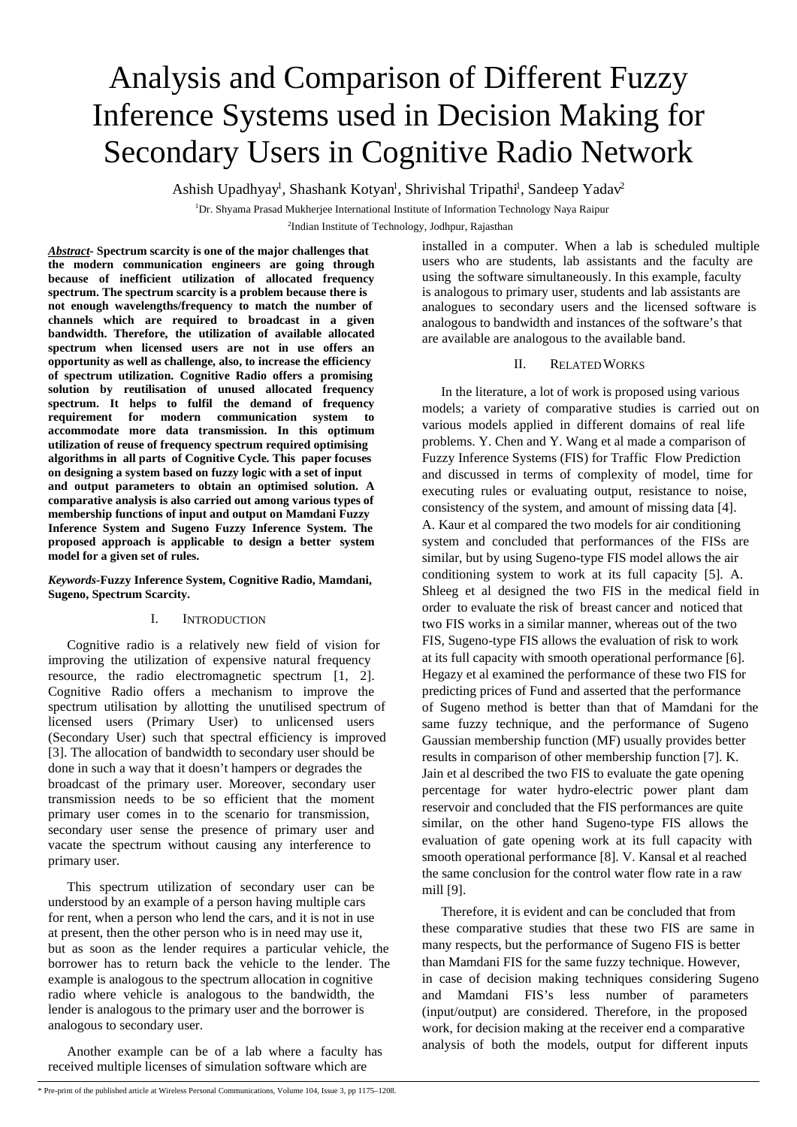# Analysis and Comparison of Different Fuzzy Inference Systems used in Decision Making for Secondary Users in Cognitive Radio Network

Ashish Upadhyay<sup>1</sup>, Shashank Kotyan<sup>1</sup>, Shrivishal Tripathi<sup>1</sup>, Sandeep Yadav<sup>2</sup>

<sup>1</sup>Dr. Shyama Prasad Mukherjee International Institute of Information Technology Naya Raipur

<sup>2</sup>Indian Institute of Technology, Jodhpur, Rajasthan

*Abstract-* **Spectrum scarcity is one of the major challenges that the modern communication engineers are going through because of inefficient utilization of allocated frequency spectrum. The spectrum scarcity is a problem because there is not enough wavelengths/frequency to match the number of channels which are required to broadcast in a given bandwidth. Therefore, the utilization of available allocated spectrum when licensed users are not in use offers an opportunity as well as challenge, also, to increase the efficiency of spectrum utilization. Cognitive Radio offers a promising solution by reutilisation of unused allocated frequency spectrum. It helps to fulfil the demand of frequency requirement for modern communication system to accommodate more data transmission. In this optimum utilization of reuse of frequency spectrum required optimising algorithms in all parts of Cognitive Cycle. This paper focuses on designing a system based on fuzzy logic with a set of input and output parameters to obtain an optimised solution. A comparative analysis is also carried out among various types of membership functions of input and output on Mamdani Fuzzy Inference System and Sugeno Fuzzy Inference System. The proposed approach is applicable to design a better system model for a given set of rules.** 

*Keywords-***Fuzzy Inference System, Cognitive Radio, Mamdani, Sugeno, Spectrum Scarcity.**

## I. INTRODUCTION

Cognitive radio is a relatively new field of vision for improving the utilization of expensive natural frequency resource, the radio electromagnetic spectrum [1, 2]. Cognitive Radio offers a mechanism to improve the spectrum utilisation by allotting the unutilised spectrum of licensed users (Primary User) to unlicensed users (Secondary User) such that spectral efficiency is improved [3]. The allocation of bandwidth to secondary user should be done in such a way that it doesn't hampers or degrades the broadcast of the primary user. Moreover, secondary user transmission needs to be so efficient that the moment primary user comes in to the scenario for transmission, secondary user sense the presence of primary user and vacate the spectrum without causing any interference to primary user.

This spectrum utilization of secondary user can be understood by an example of a person having multiple cars for rent, when a person who lend the cars, and it is not in use at present, then the other person who is in need may use it, but as soon as the lender requires a particular vehicle, the borrower has to return back the vehicle to the lender. The example is analogous to the spectrum allocation in cognitive radio where vehicle is analogous to the bandwidth, the lender is analogous to the primary user and the borrower is analogous to secondary user.

Another example can be of a lab where a faculty has received multiple licenses of simulation software which are

installed in a computer. When a lab is scheduled multiple users who are students, lab assistants and the faculty are using the software simultaneously. In this example, faculty is analogous to primary user, students and lab assistants are analogues to secondary users and the licensed software is analogous to bandwidth and instances of the software's that are available are analogous to the available band.

## II. RELATED WORKS

In the literature, a lot of work is proposed using various models; a variety of comparative studies is carried out on various models applied in different domains of real life problems. Y. Chen and Y. Wang et al made a comparison of Fuzzy Inference Systems (FIS) for Traffic Flow Prediction and discussed in terms of complexity of model, time for executing rules or evaluating output, resistance to noise, consistency of the system, and amount of missing data [4]. A. Kaur et al compared the two models for air conditioning system and concluded that performances of the FISs are similar, but by using Sugeno-type FIS model allows the air conditioning system to work at its full capacity [5]. A. Shleeg et al designed the two FIS in the medical field in order to evaluate the risk of breast cancer and noticed that two FIS works in a similar manner, whereas out of the two FIS, Sugeno-type FIS allows the evaluation of risk to work at its full capacity with smooth operational performance [6]. Hegazy et al examined the performance of these two FIS for predicting prices of Fund and asserted that the performance of Sugeno method is better than that of Mamdani for the same fuzzy technique, and the performance of Sugeno Gaussian membership function (MF) usually provides better results in comparison of other membership function [7]. K. Jain et al described the two FIS to evaluate the gate opening percentage for water hydro-electric power plant dam reservoir and concluded that the FIS performances are quite similar, on the other hand Sugeno-type FIS allows the evaluation of gate opening work at its full capacity with smooth operational performance [8]. V. Kansal et al reached the same conclusion for the control water flow rate in a raw mill [9].

Therefore, it is evident and can be concluded that from these comparative studies that these two FIS are same in many respects, but the performance of Sugeno FIS is better than Mamdani FIS for the same fuzzy technique. However, in case of decision making techniques considering Sugeno and Mamdani FIS's less number of parameters (input/output) are considered. Therefore, in the proposed work, for decision making at the receiver end a comparative analysis of both the models, output for different inputs

<sup>\*</sup> Pre-print of the published article at Wireless Personal Communications, Volume 104, Issue 3, pp 1175–1208.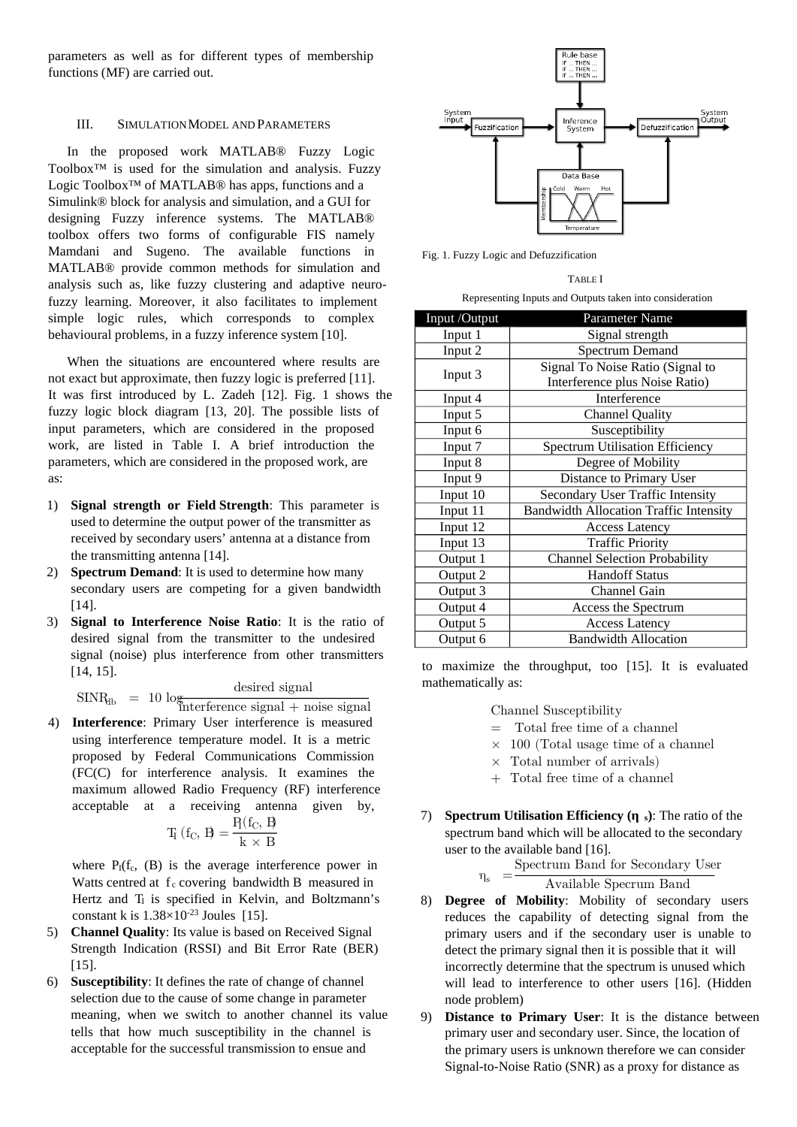parameters as well as for different types of membership functions (MF) are carried out.

## III. SIMULATION MODEL AND PARAMETERS

In the proposed work MATLAB® Fuzzy Logic Toolbox™ is used for the simulation and analysis. Fuzzy Logic Toolbox™ of MATLAB® has apps, functions and a Simulink® block for analysis and simulation, and a GUI for designing Fuzzy inference systems. The MATLAB® toolbox offers two forms of configurable FIS namely Mamdani and Sugeno. The available functions in MATLAB® provide common methods for simulation and analysis such as, like fuzzy clustering and adaptive neurofuzzy learning. Moreover, it also facilitates to implement simple logic rules, which corresponds to complex behavioural problems, in a fuzzy inference system [10].

When the situations are encountered where results are not exact but approximate, then fuzzy logic is preferred [11]. It was first introduced by L. Zadeh [12]. Fig. 1 shows the fuzzy logic block diagram [13, 20]. The possible lists of input parameters, which are considered in the proposed work, are listed in Table I. A brief introduction the parameters, which are considered in the proposed work, are as:

- 1) **Signal strength or Field Strength**: This parameter is used to determine the output power of the transmitter as received by secondary users' antenna at a distance from the transmitting antenna [14].
- 2) **Spectrum Demand**: It is used to determine how many secondary users are competing for a given bandwidth [14].
- 3) **Signal to Interference Noise Ratio**: It is the ratio of desired signal from the transmitter to the undesired signal (noise) plus interference from other transmitters [14, 15].

 $SINR_{db} = 10 \log \frac{\text{desired signal}}{\text{factor} \cdot \text{area}}$ 

interference signal + noise signal 4) **Interference**: Primary User interference is measured

using interference temperature model. It is a metric proposed by Federal Communications Commission (FC(C) for interference analysis. It examines the maximum allowed Radio Frequency (RF) interference acceptable at a receiving antenna given by,

$$
T_I\left(f_C,\,B\right)=\frac{P_I(f_C,\,B}{k\,\times\,B}
$$

where  $P_I(f_c, (B))$  is the average interference power in Watts centred at  $f_c$  covering bandwidth B measured in Hertz and T<sub>I</sub> is specified in Kelvin, and Boltzmann's constant k is  $1.38 \times 10^{-23}$  Joules [15].

- 5) **Channel Quality**: Its value is based on Received Signal Strength Indication (RSSI) and Bit Error Rate (BER) [15].
- 6) **Susceptibility**: It defines the rate of change of channel selection due to the cause of some change in parameter meaning, when we switch to another channel its value tells that how much susceptibility in the channel is acceptable for the successful transmission to ensue and



Fig. 1. Fuzzy Logic and Defuzzification

#### TABLE I

| Input /Output | Parameter Name                                |  |  |
|---------------|-----------------------------------------------|--|--|
| Input 1       | Signal strength                               |  |  |
| Input 2       | Spectrum Demand                               |  |  |
|               | Signal To Noise Ratio (Signal to              |  |  |
| Input 3       | Interference plus Noise Ratio)                |  |  |
| Input 4       | Interference                                  |  |  |
| Input 5       | <b>Channel Quality</b>                        |  |  |
| Input 6       | Susceptibility                                |  |  |
| Input 7       | <b>Spectrum Utilisation Efficiency</b>        |  |  |
| Input 8       | Degree of Mobility                            |  |  |
| Input 9       | Distance to Primary User                      |  |  |
| Input 10      | Secondary User Traffic Intensity              |  |  |
| Input 11      | <b>Bandwidth Allocation Traffic Intensity</b> |  |  |
| Input 12      | <b>Access Latency</b>                         |  |  |
| Input 13      | <b>Traffic Priority</b>                       |  |  |
| Output 1      | <b>Channel Selection Probability</b>          |  |  |
| Output 2      | <b>Handoff Status</b>                         |  |  |
| Output 3      | Channel Gain                                  |  |  |
| Output 4      | Access the Spectrum                           |  |  |
| Output 5      | <b>Access Latency</b>                         |  |  |
| Output 6      | <b>Bandwidth Allocation</b>                   |  |  |

to maximize the throughput, too [15]. It is evaluated mathematically as:

Channel Susceptibility

- = Total free time of a channel
- $\times$  100 (Total usage time of a channel
- $\times$  Total number of arrivals)
- + Total free time of a channel
- 7) **Spectrum Utilisation Efficiency (ηη <sup>s</sup>)**: The ratio of the spectrum band which will be allocated to the secondary user to the available band [16].

 $\eta_s =$ Spectrum Band for Secondary User Available Specrum Band

- 8) **Degree of Mobility**: Mobility of secondary users reduces the capability of detecting signal from the primary users and if the secondary user is unable to detect the primary signal then it is possible that it will incorrectly determine that the spectrum is unused which will lead to interference to other users [16]. (Hidden node problem)
- 9) **Distance to Primary User**: It is the distance between primary user and secondary user. Since, the location of the primary users is unknown therefore we can consider Signal-to-Noise Ratio (SNR) as a proxy for distance as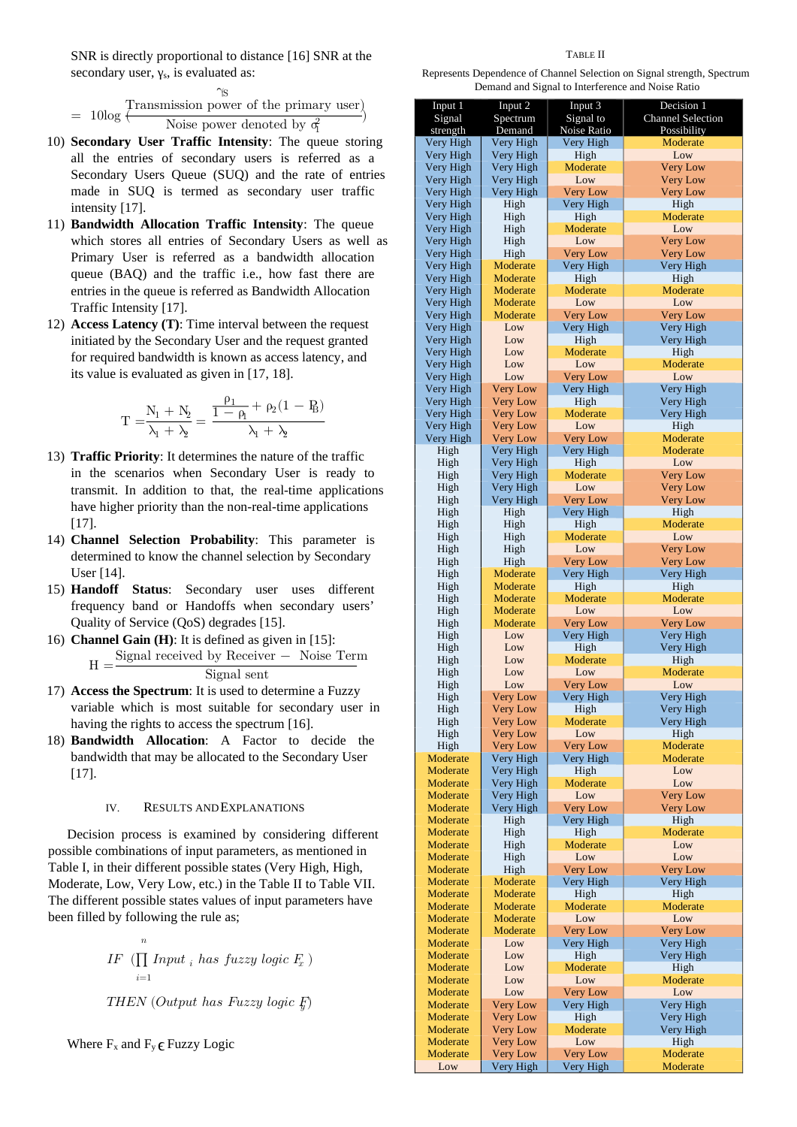SNR is directly proportional to distance [16] SNR at the secondary user,  $\gamma_s$ , is evaluated as:

$$
= 10\log \frac{\text{Transmission power of the primary user}}{\text{Noise power denoted by } \sigma_1^2}
$$

- 10) **Secondary User Traffic Intensity**: The queue storing all the entries of secondary users is referred as a Secondary Users Queue (SUQ) and the rate of entries made in SUQ is termed as secondary user traffic intensity [17].
- 11) **Bandwidth Allocation Traffic Intensity**: The queue which stores all entries of Secondary Users as well as Primary User is referred as a bandwidth allocation queue (BAQ) and the traffic i.e., how fast there are entries in the queue is referred as Bandwidth Allocation Traffic Intensity [17].
- 12) **Access Latency (T)**: Time interval between the request initiated by the Secondary User and the request granted for required bandwidth is known as access latency, and its value is evaluated as given in [17, 18].

$$
T = \frac{N_1 + N_2}{\lambda_1 + \lambda_2} = \frac{\frac{\rho_1}{1 - \rho_1} + \rho_2(1 - P_B)}{\lambda_1 + \lambda_2}
$$

- 13) **Traffic Priority**: It determines the nature of the traffic in the scenarios when Secondary User is ready to transmit. In addition to that, the real-time applications have higher priority than the non-real-time applications [17].
- 14) **Channel Selection Probability**: This parameter is determined to know the channel selection by Secondary User [14].
- 15) **Handoff Status**: Secondary user uses different frequency band or Handoffs when secondary users' Quality of Service (QoS) degrades [15].
- 16) **Channel Gain (H)**: It is defined as given in [15]:  $H =$ Signal received by Receiver − Noise Term

Signal sent

- 17) **Access the Spectrum**: It is used to determine a Fuzzy variable which is most suitable for secondary user in having the rights to access the spectrum [16].
- 18) **Bandwidth Allocation**: A Factor to decide the bandwidth that may be allocated to the Secondary User [17].

## IV. RESULTS AND EXPLANATIONS

Decision process is examined by considering different possible combinations of input parameters, as mentioned in Table I, in their different possible states (Very High, High, Moderate, Low, Very Low, etc.) in the Table II to Table VII. The different possible states values of input parameters have been filled by following the rule as;

> $IF \prod Input_i$  has fuzzy logic  $F_x$ )  $\boldsymbol{n}$  $i=1$ THEN (Output has Fuzzy logic  $F$ )

Where  $F_x$  and  $F_y \in$  Fuzzy Logic

#### TABLE II

Represents Dependence of Channel Selection on Signal strength, Spectrum Demand and Signal to Interference and Noise Ratio

| Input 1<br>Signal<br>strength | Input 2<br>Spectrum<br>Demand      | Input 3<br>Signal to<br>Noise Ratio | Decision 1<br><b>Channel Selection</b><br>Possibility |
|-------------------------------|------------------------------------|-------------------------------------|-------------------------------------------------------|
| Very High                     | Very High                          | Very High                           | Moderate                                              |
| Very High                     | Very High                          | High                                | Low                                                   |
| Very High                     | Very High                          | Moderate                            | <b>Very Low</b>                                       |
| Very High                     | Very High                          | Low                                 | <b>Very Low</b>                                       |
| Very High                     | Very High                          | <b>Very Low</b>                     | <b>Very Low</b>                                       |
| Very High                     | High                               | Very High                           | High                                                  |
| Very High                     | High                               | High                                | Moderate                                              |
| Very High                     | High                               | <b>Moderate</b>                     | Low                                                   |
| Very High<br>Very High        | High<br>High                       | Low<br><b>Very Low</b>              | <b>Very Low</b><br><b>Very Low</b>                    |
| Very High                     | <b>Moderate</b>                    | Very High                           | Very High                                             |
| Very High                     | <b>Moderate</b>                    | High                                | High                                                  |
| Very High                     | Moderate                           | Moderate                            | Moderate                                              |
| Very High                     | Moderate                           | Low                                 | Low                                                   |
| Very High                     | Moderate                           | <b>Very Low</b>                     | <b>Very Low</b>                                       |
| Very High                     | Low                                | Very High                           | Very High                                             |
| Very High                     | Low                                | High                                | Very High                                             |
| Very High                     | Low                                | Moderate                            | High                                                  |
| Very High                     | Low                                | Low                                 | Moderate                                              |
| Very High                     | Low                                | <b>Very Low</b>                     | Low                                                   |
| Very High                     | <b>Very Low</b>                    | Very High                           | Very High                                             |
| Very High                     | <b>Very Low</b>                    | High<br><b>Moderate</b>             | Very High<br>Very High                                |
| Very High<br>Very High        | <b>Very Low</b><br><b>Very Low</b> | Low                                 | High                                                  |
| Very High                     | <b>Very Low</b>                    | <b>Very Low</b>                     | Moderate                                              |
| High                          | Very High                          | Very High                           | Moderate                                              |
| High                          | Very High                          | High                                | Low                                                   |
| High                          | Very High                          | <b>Moderate</b>                     | <b>Very Low</b>                                       |
| High                          | Very High                          | Low                                 | <b>Very Low</b>                                       |
| High                          | Very High                          | <b>Very Low</b>                     | <b>Very Low</b>                                       |
| High                          | High                               | Very High                           | High                                                  |
| High                          | High                               | High                                | <b>Moderate</b>                                       |
| High                          | High                               | Moderate                            | Low                                                   |
| High                          | High                               | Low                                 | <b>Very Low</b>                                       |
| High<br>High                  | High<br><b>Moderate</b>            | <b>Very Low</b><br>Very High        | <b>Very Low</b><br>Very High                          |
| High                          | Moderate                           | High                                | High                                                  |
| High                          | <b>Moderate</b>                    | Moderate                            | Moderate                                              |
| High                          | Moderate                           | Low                                 | Low                                                   |
| High                          | <b>Moderate</b>                    | <b>Very Low</b>                     | <b>Very Low</b>                                       |
| High                          | Low                                | Very High                           | Very High                                             |
| High                          | Low                                | High                                | Very High                                             |
| High                          | Low                                | Moderate                            | High                                                  |
| High                          | Low                                | Low                                 | Moderate                                              |
| High                          | Low                                | <b>Very Low</b>                     | Low                                                   |
| High                          | Very Low                           | Very High                           | Very High                                             |
| High<br>High                  | <b>Very Low</b>                    | High<br>Moderate                    | Very High<br>Very High                                |
| High                          | Very Low<br><b>Very Low</b>        | Low                                 | High                                                  |
| High                          | <b>Very Low</b>                    | <b>Very Low</b>                     | Moderate                                              |
| <b>Moderate</b>               | Very High                          | Very High                           | Moderate                                              |
| Moderate                      | Very High                          | High                                | Low                                                   |
| Moderate                      | Very High                          | Moderate                            | Low                                                   |
| Moderate                      | Very High                          | Low                                 | <b>Very Low</b>                                       |
| Moderate                      | Very High                          | <b>Very Low</b>                     | <b>Very Low</b>                                       |
| Moderate                      | High                               | Very High                           | High                                                  |
| <b>Moderate</b>               | High                               | High                                | Moderate                                              |
| Moderate                      | High                               | Moderate                            | Low                                                   |
| Moderate                      | High                               | Low                                 | Low                                                   |
| Moderate<br>Moderate          | High<br>Moderate                   | <b>Very Low</b><br>Very High        | <b>Very Low</b><br>Very High                          |
| Moderate                      | Moderate                           | High                                | High                                                  |
| Moderate                      | Moderate                           | Moderate                            | Moderate                                              |
| Moderate                      | Moderate                           | Low                                 | Low                                                   |
| Moderate                      | Moderate                           | <b>Very Low</b>                     | <b>Very Low</b>                                       |
| Moderate                      | Low                                | Very High                           | Very High                                             |
| Moderate                      | Low                                | High                                | Very High                                             |
| <b>Moderate</b>               | Low                                | Moderate                            | High                                                  |
| Moderate                      | Low                                | Low                                 | Moderate                                              |
| Moderate                      | Low                                | <b>Very Low</b>                     | Low                                                   |
| Moderate                      | <b>Very Low</b>                    | Very High                           | Very High                                             |
| Moderate                      | <b>Very Low</b>                    | High                                | Very High                                             |
| Moderate<br>Moderate          | <b>Very Low</b>                    | Moderate<br>Low                     | Very High                                             |
| Moderate                      | <b>Very Low</b><br><b>Very Low</b> | <b>Very Low</b>                     | High<br>Moderate                                      |
| Low                           | Very High                          | Very High                           | Moderate                                              |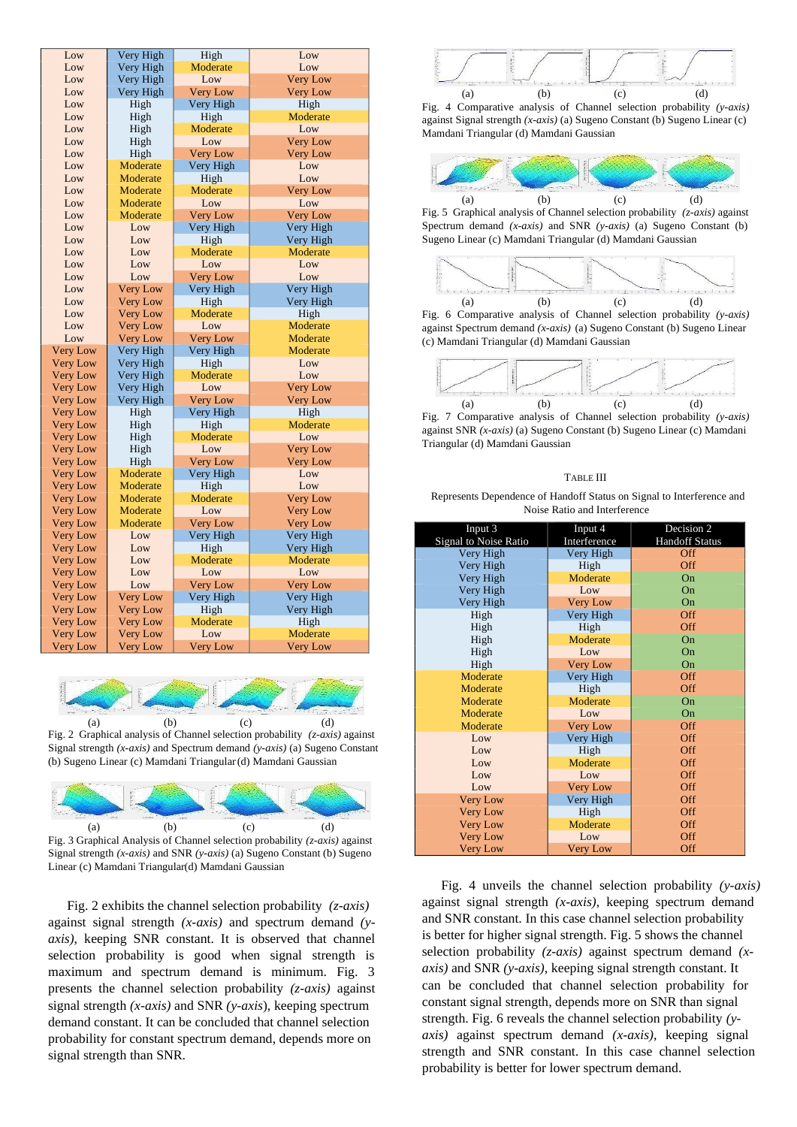| Low             | Very High       | High                        | Low             |
|-----------------|-----------------|-----------------------------|-----------------|
| Low             | Very High       | Moderate                    | Low             |
| Low             | Very High       | Low                         | <b>Very Low</b> |
| Low             | Very High       | <b>Very Low</b><br>Very Low |                 |
| Low             | High            | Very High                   | High            |
| Low             | High            | High                        | Moderate        |
| Low             | High            | Moderate                    | Low             |
| Low             | High            | Low                         | <b>Very Low</b> |
| Low             | High            | <b>Very Low</b>             | <b>Very Low</b> |
| Low             | Moderate        | Very High                   | Low             |
| Low             | Moderate        | High                        | Low             |
| Low             | Moderate        | <b>Moderate</b>             | <b>Very Low</b> |
| Low             | Moderate        | Low                         | Low             |
| Low             | Moderate        | <b>Very Low</b>             | <b>Very Low</b> |
| Low             | Low             | Very High                   | Very High       |
| Low             | Low             | High                        | Very High       |
| Low             | Low             | Moderate                    | Moderate        |
| Low             | Low             | Low                         | Low             |
| Low             | Low             | Very Low                    | Low             |
| Low             | <b>Very Low</b> | Very High                   | Very High       |
| Low             | <b>Very Low</b> | High                        | Very High       |
| Low             | <b>Very Low</b> | Moderate                    | High            |
| Low             | <b>Very Low</b> | Low                         | Moderate        |
| Low             | <b>Very Low</b> | <b>Very Low</b>             | Moderate        |
| <b>Very Low</b> | Very High       | Very High                   | Moderate        |
| <b>Very Low</b> | Very High       | High                        | Low             |
| <b>Very Low</b> | Very High       | Moderate                    | Low             |
| <b>Very Low</b> | Very High       | Low                         | <b>Very Low</b> |
| <b>Very Low</b> | Very High       | <b>Very Low</b>             | <b>Very Low</b> |
| <b>Very Low</b> | High            | Very High                   | High            |
| <b>Very Low</b> | High            | High                        | Moderate        |
| <b>Very Low</b> | High            | Moderate                    | Low             |
| <b>Very Low</b> | High            | Low                         | <b>Very Low</b> |
| <b>Very Low</b> | High            | <b>Very Low</b>             | <b>Very Low</b> |
| <b>Very Low</b> | Moderate        | Very High                   | Low             |
| <b>Very Low</b> | Moderate        | High                        | Low             |
| <b>Very Low</b> | Moderate        | Moderate                    | <b>Very Low</b> |
| <b>Very Low</b> | Moderate        | Low                         | <b>Very Low</b> |
| <b>Very Low</b> | Moderate        | <b>Very Low</b>             | <b>Very Low</b> |
| <b>Very Low</b> | Low             | Very High                   | Very High       |
| <b>Very Low</b> | Low             | High                        | Very High       |
| <b>Very Low</b> | Low             | <b>Moderate</b>             | Moderate        |
| <b>Very Low</b> | Low             | Low                         | Low             |
| <b>Very Low</b> | Low             | <b>Very Low</b>             | <b>Very Low</b> |
| <b>Very Low</b> | <b>Very Low</b> | Very High                   | Very High       |
| <b>Very Low</b> | <b>Very Low</b> | High                        | Very High       |
| <b>Very Low</b> | <b>Very Low</b> | Moderate                    | High            |
| <b>Very Low</b> | <b>Very Low</b> | Low                         | Moderate        |
| <b>Very Low</b> | <b>Very Low</b> | <b>Very Low</b>             | <b>Very Low</b> |







Linear (c) Mamdani Triangular(d) Mamdani Gaussian

Fig. 2 exhibits the channel selection probability *(z-axis)* against signal strength *(x-axis)* and spectrum demand *(yaxis)*, keeping SNR constant. It is observed that channel selection probability is good when signal strength is maximum and spectrum demand is minimum. Fig. 3 presents the channel selection probability *(z-axis)* against signal strength *(x-axis)* and SNR *(y-axis*), keeping spectrum demand constant. It can be concluded that channel selection probability for constant spectrum demand, depends more on signal strength than SNR.



Fig. 4 Comparative analysis of Channel selection probability *(y-axis)* against Signal strength *(x-axis)* (a) Sugeno Constant (b) Sugeno Linear (c) Mamdani Triangular (d) Mamdani Gaussian



Fig. 5 Graphical analysis of Channel selection probability *(z-axis)* against Spectrum demand *(x-axis)* and SNR *(y-axis)* (a) Sugeno Constant (b) Sugeno Linear (c) Mamdani Triangular (d) Mamdani Gaussian



Fig. 6 Comparative analysis of Channel selection probability *(y-axis)* against Spectrum demand *(x-axis)* (a) Sugeno Constant (b) Sugeno Linear (c) Mamdani Triangular (d) Mamdani Gaussian



Fig. 7 Comparative analysis of Channel selection probability *(y-axis)* against SNR *(x-axis)* (a) Sugeno Constant (b) Sugeno Linear (c) Mamdani Triangular (d) Mamdani Gaussian

## TABLE III

Represents Dependence of Handoff Status on Signal to Interference and Noise Ratio and Interference

| Input 3                      | Input 4         | Decision <sub>2</sub> |
|------------------------------|-----------------|-----------------------|
| <b>Signal to Noise Ratio</b> | Interference    | <b>Handoff Status</b> |
| Very High                    | Very High       | Off                   |
| Very High                    | High            | Off                   |
| Very High                    | <b>Moderate</b> | On                    |
| Very High                    | Low             | On                    |
| Very High                    | <b>Very Low</b> | On                    |
| High                         | Very High       | Off                   |
| High                         | High            | Off                   |
| High                         | <b>Moderate</b> | On                    |
| High                         | Low             | On                    |
| High                         | <b>Very Low</b> | On                    |
| <b>Moderate</b>              | Very High       | Off                   |
| Moderate                     | High            | Off                   |
| Moderate                     | <b>Moderate</b> | On                    |
| Moderate                     | Low             | On                    |
| Moderate                     | <b>Very Low</b> | Off                   |
| Low                          | Very High       | Off                   |
| Low                          | High            | Off                   |
| Low                          | <b>Moderate</b> | Off                   |
| Low                          | Low             | Off                   |
| Low                          | <b>Very Low</b> | Off                   |
| <b>Very Low</b>              | Very High       | Off                   |
| <b>Very Low</b>              | High            | Off                   |
| <b>Very Low</b>              | Moderate        | Off                   |
| <b>Very Low</b>              | Low             | Off                   |
| <b>Very Low</b>              | <b>Very Low</b> | Off                   |

Fig. 4 unveils the channel selection probability *(y-axis)* against signal strength *(x-axis)*, keeping spectrum demand and SNR constant. In this case channel selection probability is better for higher signal strength. Fig. 5 shows the channel selection probability *(z-axis)* against spectrum demand *(xaxis)* and SNR *(y-axis)*, keeping signal strength constant. It can be concluded that channel selection probability for constant signal strength, depends more on SNR than signal strength. Fig. 6 reveals the channel selection probability *(yaxis)* against spectrum demand *(x-axis)*, keeping signal strength and SNR constant. In this case channel selection probability is better for lower spectrum demand.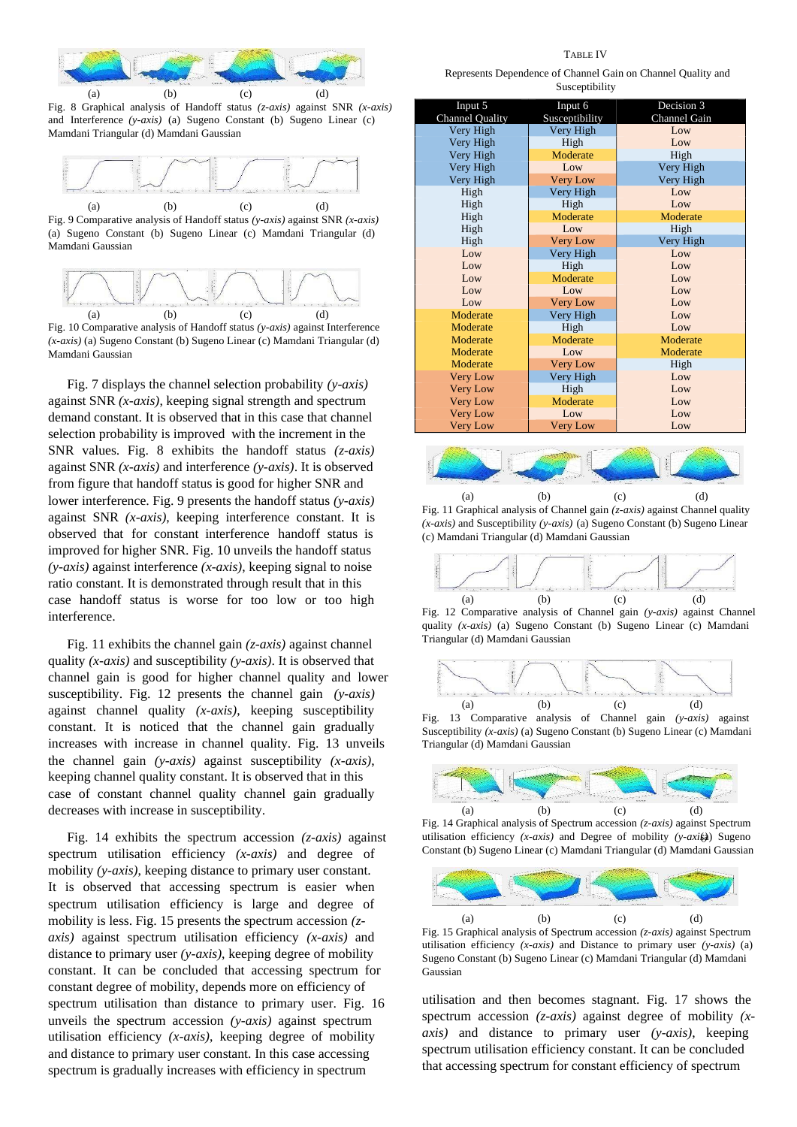

(a) (b) (c) (d) Fig. 8 Graphical analysis of Handoff status *(z-axis)* against SNR *(x-axis)* and Interference *(y-axis)* (a) Sugeno Constant (b) Sugeno Linear (c) Mamdani Triangular (d) Mamdani Gaussian



Fig. 9 Comparative analysis of Handoff status *(y-axis)* against SNR *(x-axis)* (a) Sugeno Constant (b) Sugeno Linear (c) Mamdani Triangular (d) Mamdani Gaussian



Fig. 10 Comparative analysis of Handoff status *(y-axis)* against Interference *(x-axis)* (a) Sugeno Constant (b) Sugeno Linear (c) Mamdani Triangular (d) Mamdani Gaussian

Fig. 7 displays the channel selection probability *(y-axis)* against SNR *(x-axis)*, keeping signal strength and spectrum demand constant. It is observed that in this case that channel selection probability is improved with the increment in the SNR values. Fig. 8 exhibits the handoff status *(z-axis)* against SNR *(x-axis)* and interference *(y-axis)*. It is observed from figure that handoff status is good for higher SNR and lower interference. Fig. 9 presents the handoff status *(y-axis)* against SNR *(x-axis)*, keeping interference constant. It is observed that for constant interference handoff status is improved for higher SNR. Fig. 10 unveils the handoff status *(y-axis)* against interference *(x-axis)*, keeping signal to noise ratio constant. It is demonstrated through result that in this case handoff status is worse for too low or too high interference.

Fig. 11 exhibits the channel gain *(z-axis)* against channel quality *(x-axis)* and susceptibility *(y-axis)*. It is observed that channel gain is good for higher channel quality and lower susceptibility. Fig. 12 presents the channel gain *(y-axis)* against channel quality *(x-axis)*, keeping susceptibility constant. It is noticed that the channel gain gradually increases with increase in channel quality. Fig. 13 unveils the channel gain *(y-axis)* against susceptibility *(x-axis)*, keeping channel quality constant. It is observed that in this case of constant channel quality channel gain gradually decreases with increase in susceptibility.

Fig. 14 exhibits the spectrum accession *(z-axis)* against spectrum utilisation efficiency *(x-axis)* and degree of mobility *(y-axis)*, keeping distance to primary user constant. It is observed that accessing spectrum is easier when spectrum utilisation efficiency is large and degree of mobility is less. Fig. 15 presents the spectrum accession *(zaxis)* against spectrum utilisation efficiency *(x-axis)* and distance to primary user *(y-axis)*, keeping degree of mobility constant. It can be concluded that accessing spectrum for constant degree of mobility, depends more on efficiency of spectrum utilisation than distance to primary user. Fig. 16 unveils the spectrum accession *(y-axis)* against spectrum utilisation efficiency *(x-axis)*, keeping degree of mobility and distance to primary user constant. In this case accessing spectrum is gradually increases with efficiency in spectrum

Represents Dependence of Channel Gain on Channel Quality and Susceptibility

| Input 5                | Input 6         | Decision 3      |
|------------------------|-----------------|-----------------|
| <b>Channel Quality</b> | Susceptibility  | Channel Gain    |
| Very High              | Very High       | Low             |
| Very High              | High            | Low.            |
| Very High              | Moderate        | High            |
| Very High              | L <sub>ow</sub> | Very High       |
| Very High              | <b>Very Low</b> | Very High       |
| High                   | Very High       | Low             |
| High                   | High            | Low             |
| High                   | Moderate        | Moderate        |
| High                   | Low             | High            |
| High                   | <b>Very Low</b> | Very High       |
| Low                    | Very High       | L <sub>ow</sub> |
| Low                    | High            | Low             |
| Low                    | Moderate        | L <sub>ow</sub> |
| Low                    | Low             | L <sub>ow</sub> |
| Low                    | <b>Very Low</b> | L <sub>ow</sub> |
| Moderate               | Very High       | Low             |
| Moderate               | High            | Low             |
| Moderate               | Moderate        | Moderate        |
| Moderate               | Low             | Moderate        |
| Moderate               | <b>Very Low</b> | High            |
| <b>Very Low</b>        | Very High       | L <sub>ow</sub> |
| <b>Very Low</b>        | High            | Low             |
| <b>Very Low</b>        | Moderate        | Low             |
| <b>Very Low</b>        | $I_{.0W}$       | L <sub>ow</sub> |
| <b>Very Low</b>        | <b>Very Low</b> | Low             |



Fig. 11 Graphical analysis of Channel gain *(z-axis)* against Channel quality *(x-axis)* and Susceptibility *(y-axis)* (a) Sugeno Constant (b) Sugeno Linear (c) Mamdani Triangular (d) Mamdani Gaussian







Fig. 13 Comparative analysis of Channel gain *(y-axis)* against Susceptibility *(x-axis)* (a) Sugeno Constant (b) Sugeno Linear (c) Mamdani Triangular (d) Mamdani Gaussian



Fig. 14 Graphical analysis of Spectrum accession *(z-axis)* against Spectrum utilisation efficiency *(x-axis)* and Degree of mobility *(y-axifa)* Sugeno Constant (b) Sugeno Linear (c) Mamdani Triangular (d) Mamdani Gaussian



Fig. 15 Graphical analysis of Spectrum accession *(z-axis)* against Spectrum utilisation efficiency *(x-axis)* and Distance to primary user *(y-axis)* (a) Sugeno Constant (b) Sugeno Linear (c) Mamdani Triangular (d) Mamdani Gaussian

utilisation and then becomes stagnant. Fig. 17 shows the spectrum accession *(z-axis)* against degree of mobility *(xaxis)* and distance to primary user *(y-axis)*, keeping spectrum utilisation efficiency constant. It can be concluded that accessing spectrum for constant efficiency of spectrum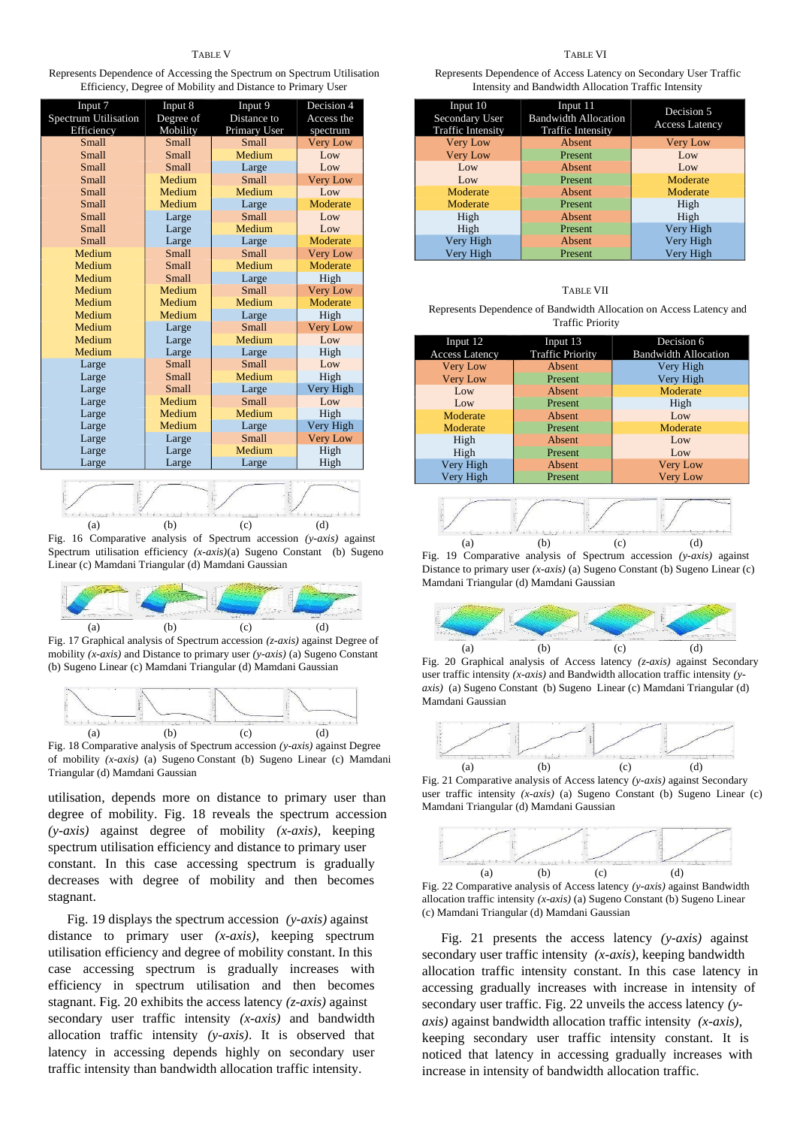Represents Dependence of Accessing the Spectrum on Spectrum Utilisation Efficiency, Degree of Mobility and Distance to Primary User

| Input 7                     | Input 8   | Input 9      | Decision 4      |  |
|-----------------------------|-----------|--------------|-----------------|--|
| <b>Spectrum Utilisation</b> | Degree of | Distance to  | Access the      |  |
| Efficiency                  | Mobility  | Primary User | spectrum        |  |
| Small                       | Small     | Small        | <b>Very Low</b> |  |
| Small                       | Small     | Medium       | Low             |  |
| Small                       | Small     | Large        | Low             |  |
| Small                       | Medium    | Small        | <b>Very Low</b> |  |
| Small                       | Medium    | Medium       | Low             |  |
| Small                       | Medium    | Large        | Moderate        |  |
| Small                       | Large     | Small        | Low             |  |
| Small                       | Large     | Medium       | Low             |  |
| Small                       | Large     | Large        | Moderate        |  |
| Medium                      | Small     | Small        | <b>Very Low</b> |  |
| Medium                      | Small     | Medium       | Moderate        |  |
| Medium                      | Small     | Large        | High            |  |
| Medium                      | Medium    | Small        | <b>Very Low</b> |  |
| Medium                      | Medium    | Medium       | Moderate        |  |
| Medium                      | Medium    | Large        | High            |  |
| Medium                      | Large     | Small        | <b>Very Low</b> |  |
| Medium                      | Large     | Medium       | Low             |  |
| Medium                      | Large     | Large        | High            |  |
| Large                       | Small     | Small        | Low             |  |
| Large                       | Small     | Medium       | High            |  |
| Large                       | Small     | Large        | Very High       |  |
| Large                       | Medium    | Small        | Low             |  |
| Large                       | Medium    | Medium       | High            |  |
| Large                       | Medium    | Large        | Very High       |  |
| Large                       | Large     | Small        | <b>Very Low</b> |  |
| Large                       | Large     | Medium       | High            |  |
| Large                       | Large     | Large        | High            |  |
|                             |           |              |                 |  |





Fig. 17 Graphical analysis of Spectrum accession *(z-axis)* against Degree of mobility *(x-axis)* and Distance to primary user *(y-axis)* (a) Sugeno Constant (b) Sugeno Linear (c) Mamdani Triangular (d) Mamdani Gaussian



Fig. 18 Comparative analysis of Spectrum accession *(y-axis)* against Degree of mobility *(x-axis)* (a) Sugeno Constant (b) Sugeno Linear (c) Mamdani Triangular (d) Mamdani Gaussian

utilisation, depends more on distance to primary user than degree of mobility. Fig. 18 reveals the spectrum accession *(y-axis)* against degree of mobility *(x-axis)*, keeping spectrum utilisation efficiency and distance to primary user constant. In this case accessing spectrum is gradually decreases with degree of mobility and then becomes stagnant.

Fig. 19 displays the spectrum accession *(y-axis)* against distance to primary user *(x-axis)*, keeping spectrum utilisation efficiency and degree of mobility constant. In this case accessing spectrum is gradually increases with efficiency in spectrum utilisation and then becomes stagnant. Fig. 20 exhibits the access latency *(z-axis)* against secondary user traffic intensity *(x-axis)* and bandwidth allocation traffic intensity *(y-axis)*. It is observed that latency in accessing depends highly on secondary user traffic intensity than bandwidth allocation traffic intensity.

Represents Dependence of Access Latency on Secondary User Traffic Intensity and Bandwidth Allocation Traffic Intensity

| Input 10<br><b>Secondary User</b><br><b>Traffic Intensity</b> | Input 11<br><b>Bandwidth Allocation</b><br><b>Traffic Intensity</b> | Decision 5<br><b>Access Latency</b> |
|---------------------------------------------------------------|---------------------------------------------------------------------|-------------------------------------|
| <b>Very Low</b>                                               | Absent                                                              | <b>Very Low</b>                     |
| <b>Very Low</b>                                               | Present                                                             | Low                                 |
| Low                                                           | Absent                                                              | Low                                 |
| Low                                                           | Present                                                             | Moderate                            |
| Moderate                                                      | Absent                                                              | Moderate                            |
| Moderate                                                      | Present                                                             | High                                |
| High                                                          | Absent                                                              | High                                |
| High                                                          | Present                                                             | Very High                           |
| Very High                                                     | Absent                                                              | Very High                           |
| Very High                                                     | Present                                                             | Very High                           |

## TABLE VII

Represents Dependence of Bandwidth Allocation on Access Latency and Traffic Priority

| Input 12              | Input 13                | Decision 6                  |
|-----------------------|-------------------------|-----------------------------|
| <b>Access Latency</b> | <b>Traffic Priority</b> | <b>Bandwidth Allocation</b> |
| <b>Very Low</b>       | Absent                  | Very High                   |
| <b>Very Low</b>       | Present                 | Very High                   |
| Low                   | Absent                  | Moderate                    |
| Low                   | Present                 | High                        |
| Moderate              | Absent                  | Low                         |
| Moderate              | Present                 | Moderate                    |
| High                  | Absent                  | Low                         |
| High                  | Present                 | Low                         |
| Very High             | Absent                  | <b>Very Low</b>             |
| Very High             | Present                 | <b>Very Low</b>             |



Fig. 19 Comparative analysis of Spectrum accession *(y-axis)* against Distance to primary user *(x-axis)* (a) Sugeno Constant (b) Sugeno Linear (c) Mamdani Triangular (d) Mamdani Gaussian



Fig. 20 Graphical analysis of Access latency *(z-axis)* against Secondary user traffic intensity *(x-axis)* and Bandwidth allocation traffic intensity *(yaxis)* (a) Sugeno Constant (b) Sugeno Linear (c) Mamdani Triangular (d) Mamdani Gaussian



Fig. 21 Comparative analysis of Access latency *(y-axis)* against Secondary user traffic intensity *(x-axis)* (a) Sugeno Constant (b) Sugeno Linear (c) Mamdani Triangular (d) Mamdani Gaussian



Fig. 22 Comparative analysis of Access latency *(y-axis)* against Bandwidth allocation traffic intensity *(x-axis)* (a) Sugeno Constant (b) Sugeno Linear (c) Mamdani Triangular (d) Mamdani Gaussian

Fig. 21 presents the access latency *(y-axis)* against secondary user traffic intensity *(x-axis)*, keeping bandwidth allocation traffic intensity constant. In this case latency in accessing gradually increases with increase in intensity of secondary user traffic. Fig. 22 unveils the access latency *(yaxis)* against bandwidth allocation traffic intensity *(x-axis)*, keeping secondary user traffic intensity constant. It is noticed that latency in accessing gradually increases with increase in intensity of bandwidth allocation traffic.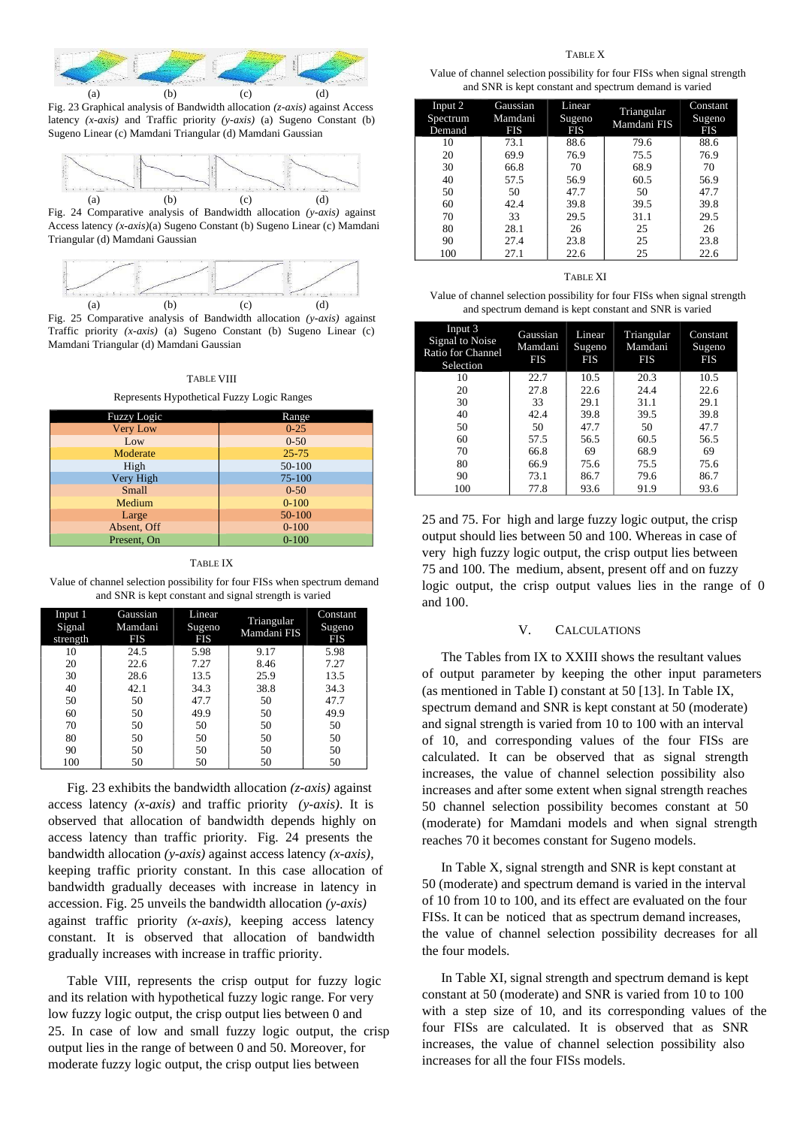

Fig. 23 Graphical analysis of Bandwidth allocation *(z-axis)* against Access latency *(x-axis)* and Traffic priority *(y-axis)* (a) Sugeno Constant (b) Sugeno Linear (c) Mamdani Triangular (d) Mamdani Gaussian



Fig. 24 Comparative analysis of Bandwidth allocation *(y-axis)* against Access latency *(x-axis)*(a) Sugeno Constant (b) Sugeno Linear (c) Mamdani Triangular (d) Mamdani Gaussian



Traffic priority *(x-axis)* (a) Sugeno Constant (b) Sugeno Linear (c) Mamdani Triangular (d) Mamdani Gaussian

#### TABLE VIII

Represents Hypothetical Fuzzy Logic Ranges

| <b>Fuzzy Logic</b> | Range      |
|--------------------|------------|
| <b>Very Low</b>    | $0 - 25$   |
| Low                | $0 - 50$   |
| Moderate           | $25 - 75$  |
| High               | $50 - 100$ |
| Very High          | 75-100     |
| Small              | $0 - 50$   |
| Medium             | $0 - 100$  |
| Large              | 50-100     |
| Absent, Off        | $0 - 100$  |
| Present, On        | $0 - 100$  |

#### TABLE IX

Value of channel selection possibility for four FISs when spectrum demand and SNR is kept constant and signal strength is varied

| Input 1<br>Signal<br>strength | Gaussian<br>Mamdani<br><b>FIS</b> | Linear<br>Sugeno<br><b>FIS</b> | Triangular<br>Mamdani FIS | Constant<br>Sugeno<br><b>FIS</b> |
|-------------------------------|-----------------------------------|--------------------------------|---------------------------|----------------------------------|
| 10                            | 24.5                              | 5.98                           | 9.17                      | 5.98                             |
| 20                            | 22.6                              | 7.27                           | 8.46                      | 7.27                             |
| 30                            | 28.6                              | 13.5                           | 25.9                      | 13.5                             |
| 40                            | 42.1                              | 34.3                           | 38.8                      | 34.3                             |
| 50                            | 50                                | 47.7                           | 50                        | 47.7                             |
| 60                            | 50                                | 49.9                           | 50                        | 49.9                             |
| 70                            | 50                                | 50                             | 50                        | 50                               |
| 80                            | 50                                | 50                             | 50                        | 50                               |
| 90                            | 50                                | 50                             | 50                        | 50                               |
| 100                           | 50                                | 50                             | 50                        | 50                               |

Fig. 23 exhibits the bandwidth allocation *(z-axis)* against access latency *(x-axis)* and traffic priority *(y-axis)*. It is observed that allocation of bandwidth depends highly on access latency than traffic priority. Fig. 24 presents the bandwidth allocation *(y-axis)* against access latency *(x-axis)*, keeping traffic priority constant. In this case allocation of bandwidth gradually deceases with increase in latency in accession. Fig. 25 unveils the bandwidth allocation *(y-axis)* against traffic priority *(x-axis)*, keeping access latency constant. It is observed that allocation of bandwidth gradually increases with increase in traffic priority.

Table VIII, represents the crisp output for fuzzy logic and its relation with hypothetical fuzzy logic range. For very low fuzzy logic output, the crisp output lies between 0 and 25. In case of low and small fuzzy logic output, the crisp output lies in the range of between 0 and 50. Moreover, for moderate fuzzy logic output, the crisp output lies between

Value of channel selection possibility for four FISs when signal strength and SNR is kept constant and spectrum demand is varied

| Input 2<br>Spectrum<br>Demand | Gaussian<br>Mamdani<br><b>FIS</b> | Linear<br>Sugeno<br><b>FIS</b> | Triangular<br>Mamdani FIS | Constant<br>Sugeno<br><b>FIS</b> |
|-------------------------------|-----------------------------------|--------------------------------|---------------------------|----------------------------------|
| 10                            | 73.1                              | 88.6                           | 79.6                      | 88.6                             |
| 20                            | 69.9                              | 76.9                           | 75.5                      | 76.9                             |
| 30                            | 66.8                              | 70                             | 68.9                      | 70                               |
| 40                            | 57.5                              | 56.9                           | 60.5                      | 56.9                             |
| 50                            | 50                                | 47.7                           | 50                        | 47.7                             |
| 60                            | 42.4                              | 39.8                           | 39.5                      | 39.8                             |
| 70                            | 33                                | 29.5                           | 31.1                      | 29.5                             |
| 80                            | 28.1                              | 26                             | 25                        | 26                               |
| 90                            | 27.4                              | 23.8                           | 25                        | 23.8                             |
| 100                           | 27.1                              | 22.6                           | 25                        | 22.6                             |

## TABLE XI

Value of channel selection possibility for four FISs when signal strength and spectrum demand is kept constant and SNR is varied

| Input 3<br>Signal to Noise<br>Ratio for Channel<br>Selection | Gaussian<br>Mamdani<br>FIS | Linear<br>Sugeno<br><b>FIS</b> | Triangular<br>Mamdani<br><b>FIS</b> | Constant<br>Sugeno<br><b>FIS</b> |
|--------------------------------------------------------------|----------------------------|--------------------------------|-------------------------------------|----------------------------------|
| 10                                                           | 22.7                       | 10.5                           | 20.3                                | 10.5                             |
| 20                                                           | 27.8                       | 22.6                           | 24.4                                | 22.6                             |
| 30                                                           | 33                         | 29.1                           | 31.1                                | 29.1                             |
| 40                                                           | 42.4                       | 39.8                           | 39.5                                | 39.8                             |
| 50                                                           | 50                         | 47.7                           | 50                                  | 47.7                             |
| 60                                                           | 57.5                       | 56.5                           | 60.5                                | 56.5                             |
| 70                                                           | 66.8                       | 69                             | 68.9                                | 69                               |
| 80                                                           | 66.9                       | 75.6                           | 75.5                                | 75.6                             |
| 90                                                           | 73.1                       | 86.7                           | 79.6                                | 86.7                             |
| 100                                                          | 77.8                       | 93.6                           | 91.9                                | 93.6                             |

25 and 75. For high and large fuzzy logic output, the crisp output should lies between 50 and 100. Whereas in case of very high fuzzy logic output, the crisp output lies between 75 and 100. The medium, absent, present off and on fuzzy logic output, the crisp output values lies in the range of 0 and 100.

## V. CALCULATIONS

The Tables from IX to XXIII shows the resultant values of output parameter by keeping the other input parameters (as mentioned in Table I) constant at 50 [13]. In Table IX, spectrum demand and SNR is kept constant at 50 (moderate) and signal strength is varied from 10 to 100 with an interval of 10, and corresponding values of the four FISs are calculated. It can be observed that as signal strength increases, the value of channel selection possibility also increases and after some extent when signal strength reaches 50 channel selection possibility becomes constant at 50 (moderate) for Mamdani models and when signal strength reaches 70 it becomes constant for Sugeno models.

In Table X, signal strength and SNR is kept constant at 50 (moderate) and spectrum demand is varied in the interval of 10 from 10 to 100, and its effect are evaluated on the four FISs. It can be noticed that as spectrum demand increases, the value of channel selection possibility decreases for all the four models.

In Table XI, signal strength and spectrum demand is kept constant at 50 (moderate) and SNR is varied from 10 to 100 with a step size of 10, and its corresponding values of the four FISs are calculated. It is observed that as SNR increases, the value of channel selection possibility also increases for all the four FISs models.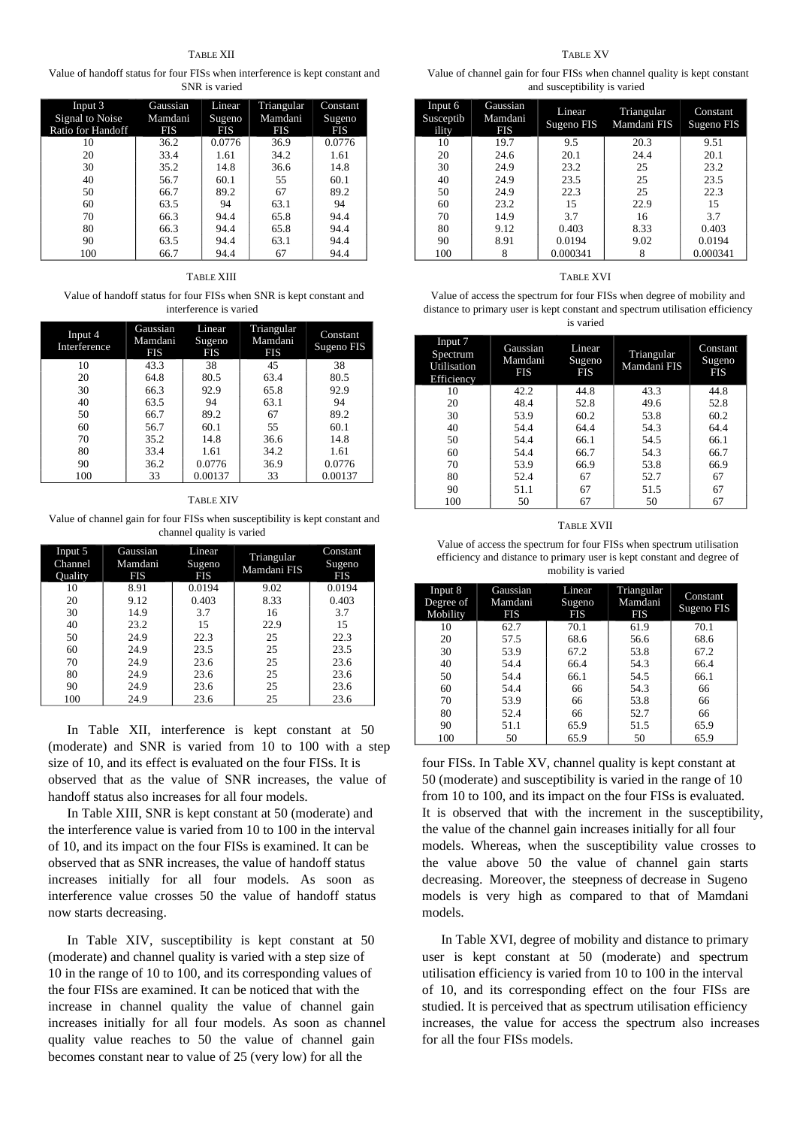Value of handoff status for four FISs when interference is kept constant and SNR is varied

| Input 3<br>Signal to Noise<br>Ratio for Handoff | Gaussian<br>Mamdani<br><b>FIS</b> | Linear<br>Sugeno<br><b>FIS</b> | Triangular<br>Mamdani<br>FIS | Constant<br>Sugeno<br>FIS |
|-------------------------------------------------|-----------------------------------|--------------------------------|------------------------------|---------------------------|
| 10                                              | 36.2                              | 0.0776                         | 36.9                         | 0.0776                    |
| 20                                              | 33.4                              | 1.61                           | 34.2                         | 1.61                      |
| 30                                              | 35.2                              | 14.8                           | 36.6                         | 14.8                      |
| 40                                              | 56.7                              | 60.1                           | 55                           | 60.1                      |
| 50                                              | 66.7                              | 89.2                           | 67                           | 89.2                      |
| 60                                              | 63.5                              | 94                             | 63.1                         | 94                        |
| 70                                              | 66.3                              | 94.4                           | 65.8                         | 94.4                      |
| 80                                              | 66.3                              | 94.4                           | 65.8                         | 94.4                      |
| 90                                              | 63.5                              | 94.4                           | 63.1                         | 94.4                      |
| 100                                             | 66.7                              | 94.4                           | 67                           | 94.4                      |

## TABLE XIII

Value of handoff status for four FISs when SNR is kept constant and interference is varied

| Input 4<br>Interference | Gaussian<br>Mamdani<br><b>FIS</b> | <b>Linear</b><br>Sugeno<br><b>FIS</b> | Triangular<br>Mamdani<br><b>FIS</b> | Constant<br>Sugeno FIS |
|-------------------------|-----------------------------------|---------------------------------------|-------------------------------------|------------------------|
| 10                      | 43.3                              | 38                                    | 45                                  | 38                     |
| 20                      | 64.8                              | 80.5                                  | 63.4                                | 80.5                   |
| 30                      | 66.3                              | 92.9                                  | 65.8                                | 92.9                   |
| 40                      | 63.5                              | 94                                    | 63.1                                | 94                     |
| 50                      | 66.7                              | 89.2                                  | 67                                  | 89.2                   |
| 60                      | 56.7                              | 60.1                                  | 55                                  | 60.1                   |
| 70                      | 35.2                              | 14.8                                  | 36.6                                | 14.8                   |
| 80                      | 33.4                              | 1.61                                  | 34.2                                | 1.61                   |
| 90                      | 36.2                              | 0.0776                                | 36.9                                | 0.0776                 |
| 100                     | 33                                | 0.00137                               | 33                                  | 0.00137                |

#### TABLE XIV

Value of channel gain for four FISs when susceptibility is kept constant and channel quality is varied

| Input 5<br>Channel<br>Quality | Gaussian<br>Mamdani<br>FIS | Linear<br>Sugeno<br>FIS | Triangular<br>Mamdani FIS | Constant<br>Sugeno<br>FIS |
|-------------------------------|----------------------------|-------------------------|---------------------------|---------------------------|
| 10                            | 8.91                       | 0.0194                  | 9.02                      | 0.0194                    |
| 20                            | 9.12                       | 0.403                   | 8.33                      | 0.403                     |
| 30                            | 14.9                       | 3.7                     | 16                        | 3.7                       |
| 40                            | 23.2                       | 15                      | 22.9                      | 15                        |
| 50                            | 24.9                       | 22.3                    | 25                        | 22.3                      |
| 60                            | 24.9                       | 23.5                    | 25                        | 23.5                      |
| 70                            | 24.9                       | 23.6                    | 25                        | 23.6                      |
| 80                            | 24.9                       | 23.6                    | 25                        | 23.6                      |
| 90                            | 24.9                       | 23.6                    | 25                        | 23.6                      |
| 100                           | 24.9                       | 23.6                    | 25                        | 23.6                      |

In Table XII, interference is kept constant at 50 (moderate) and SNR is varied from 10 to 100 with a step size of 10, and its effect is evaluated on the four FISs. It is observed that as the value of SNR increases, the value of handoff status also increases for all four models.

In Table XIII, SNR is kept constant at 50 (moderate) and the interference value is varied from 10 to 100 in the interval of 10, and its impact on the four FISs is examined. It can be observed that as SNR increases, the value of handoff status increases initially for all four models. As soon as interference value crosses 50 the value of handoff status now starts decreasing.

In Table XIV, susceptibility is kept constant at 50 (moderate) and channel quality is varied with a step size of 10 in the range of 10 to 100, and its corresponding values of the four FISs are examined. It can be noticed that with the increase in channel quality the value of channel gain increases initially for all four models. As soon as channel quality value reaches to 50 the value of channel gain becomes constant near to value of 25 (very low) for all the

Value of channel gain for four FISs when channel quality is kept constant and susceptibility is varied

| Input 6<br>Susceptib<br>ility | Gaussian<br>Mamdani<br><b>FIS</b> | Linear<br>Sugeno FIS | Triangular<br>Mamdani FIS | Constant<br>Sugeno FIS |
|-------------------------------|-----------------------------------|----------------------|---------------------------|------------------------|
| 10                            | 19.7                              | 9.5                  | 20.3                      | 9.51                   |
| 20                            | 24.6                              | 20.1                 | 24.4                      | 20.1                   |
| 30                            | 24.9                              | 23.2                 | 25                        | 23.2                   |
| 40                            | 24.9                              | 23.5                 | 25                        | 23.5                   |
| 50                            | 24.9                              | 22.3                 | 25                        | 22.3                   |
| 60                            | 23.2                              | 15                   | 22.9                      | 15                     |
| 70                            | 14.9                              | 3.7                  | 16                        | 3.7                    |
| 80                            | 9.12                              | 0.403                | 8.33                      | 0.403                  |
| 90                            | 8.91                              | 0.0194               | 9.02                      | 0.0194                 |
| 100                           | 8                                 | 0.000341             |                           | 0.000341               |

## TABLE XVI

| Value of access the spectrum for four FISs when degree of mobility and        |
|-------------------------------------------------------------------------------|
| distance to primary user is kept constant and spectrum utilisation efficiency |
| is varied                                                                     |

| Input 7<br>Spectrum<br>Utilisation<br>Efficiency | Gaussian<br>Mamdani<br><b>FIS</b> | Linear<br>Sugeno<br><b>FIS</b> | Triangular<br>Mamdani FIS | Constant<br>Sugeno<br><b>FIS</b> |
|--------------------------------------------------|-----------------------------------|--------------------------------|---------------------------|----------------------------------|
| 10                                               | 42.2                              | 44.8                           | 43.3                      | 44.8                             |
| 20                                               | 48.4                              | 52.8                           | 49.6                      | 52.8                             |
| 30                                               | 53.9                              | 60.2                           | 53.8                      | 60.2                             |
| 40                                               | 54.4                              | 64.4                           | 54.3                      | 64.4                             |
| 50                                               | 54.4                              | 66.1                           | 54.5                      | 66.1                             |
| 60                                               | 54.4                              | 66.7                           | 54.3                      | 66.7                             |
| 70                                               | 53.9                              | 66.9                           | 53.8                      | 66.9                             |
| 80                                               | 52.4                              | 67                             | 52.7                      | 67                               |
| 90                                               | 51.1                              | 67                             | 51.5                      | 67                               |
| 100                                              | 50                                | 67                             | 50                        | 67                               |

#### TABLE XVII

Value of access the spectrum for four FISs when spectrum utilisation efficiency and distance to primary user is kept constant and degree of mobility is varied

| Input 8<br>Degree of<br>Mobility | Gaussian<br>Mamdani<br><b>FIS</b> | Linear<br>Sugeno<br><b>FIS</b> | Triangular<br>Mamdani<br><b>FIS</b> | Constant<br>Sugeno FIS |
|----------------------------------|-----------------------------------|--------------------------------|-------------------------------------|------------------------|
| 10                               | 62.7                              | 70.1                           | 61.9                                | 70.1                   |
| 20                               | 57.5                              | 68.6                           | 56.6                                | 68.6                   |
| 30                               | 53.9                              | 67.2                           | 53.8                                | 67.2                   |
| 40                               | 54.4                              | 66.4                           | 54.3                                | 66.4                   |
| 50                               | 54.4                              | 66.1                           | 54.5                                | 66.1                   |
| 60                               | 54.4                              | 66                             | 54.3                                | 66                     |
| 70                               | 53.9                              | 66                             | 53.8                                | 66                     |
| 80                               | 52.4                              | 66                             | 52.7                                | 66                     |
| 90                               | 51.1                              | 65.9                           | 51.5                                | 65.9                   |
| 100                              | 50                                | 65.9                           | 50                                  | 65.9                   |

four FISs. In Table XV, channel quality is kept constant at 50 (moderate) and susceptibility is varied in the range of 10 from 10 to 100, and its impact on the four FISs is evaluated. It is observed that with the increment in the susceptibility, the value of the channel gain increases initially for all four models. Whereas, when the susceptibility value crosses to the value above 50 the value of channel gain starts decreasing. Moreover, the steepness of decrease in Sugeno models is very high as compared to that of Mamdani models.

In Table XVI, degree of mobility and distance to primary user is kept constant at 50 (moderate) and spectrum utilisation efficiency is varied from 10 to 100 in the interval of 10, and its corresponding effect on the four FISs are studied. It is perceived that as spectrum utilisation efficiency increases, the value for access the spectrum also increases for all the four FISs models.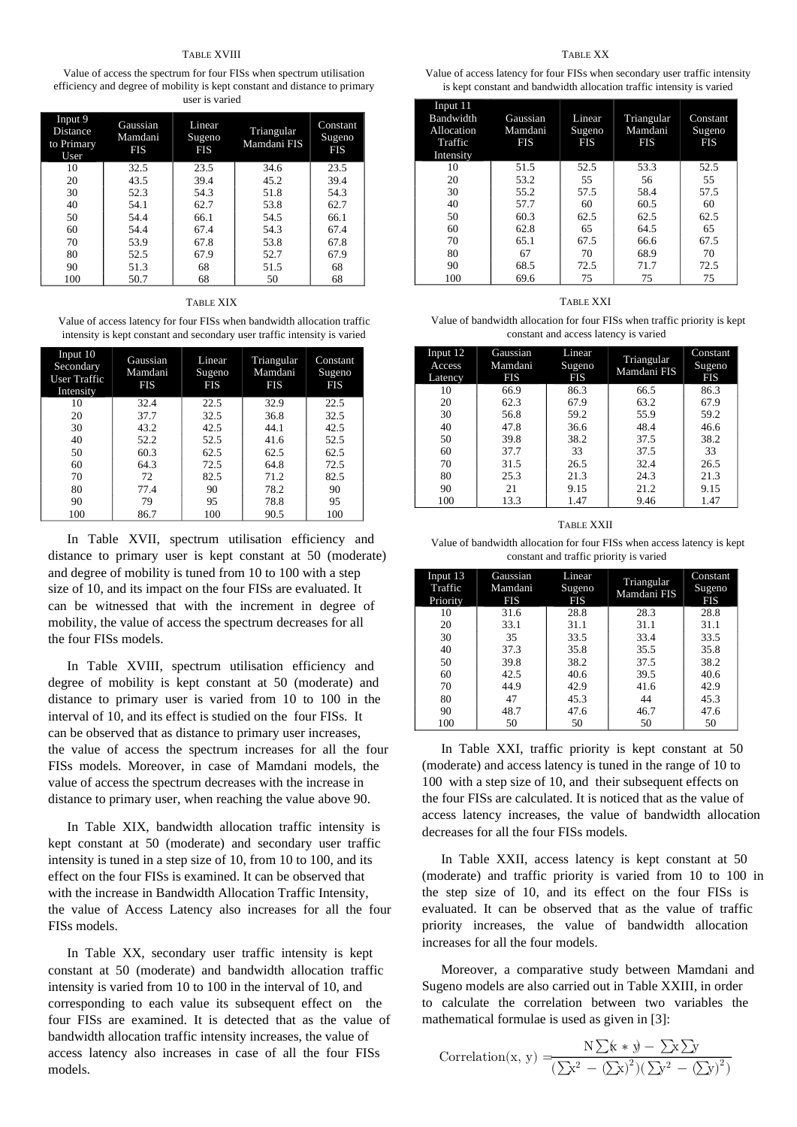#### TABLE XVIII

Value of access the spectrum for four FISs when spectrum utilisation efficiency and degree of mobility is kept constant and distance to primary user is varied

| Input 9<br><b>Distance</b><br>to Primary<br>User | Gaussian<br>Mamdani<br><b>FIS</b> | Linear<br>Sugeno<br><b>FIS</b> | Triangular<br>Mamdani FIS | Constant<br>Sugeno<br><b>FIS</b> |
|--------------------------------------------------|-----------------------------------|--------------------------------|---------------------------|----------------------------------|
| 10                                               | 32.5                              | 23.5                           | 34.6                      | 23.5                             |
| 20                                               | 43.5                              | 39.4                           | 45.2                      | 39.4                             |
| 30                                               | 52.3                              | 54.3                           | 51.8                      | 54.3                             |
| 40                                               | 54.1                              | 62.7                           | 53.8                      | 62.7                             |
| 50                                               | 54.4                              | 66.1                           | 54.5                      | 66.1                             |
| 60                                               | 54.4                              | 67.4                           | 54.3                      | 67.4                             |
| 70                                               | 53.9                              | 67.8                           | 53.8                      | 67.8                             |
| 80                                               | 52.5                              | 67.9                           | 52.7                      | 67.9                             |
| 90                                               | 51.3                              | 68                             | 51.5                      | 68                               |
| 100                                              | 50.7                              | 68                             | 50                        | 68                               |

#### TABLE XIX

Value of access latency for four FISs when bandwidth allocation traffic intensity is kept constant and secondary user traffic intensity is varied

| Input 10<br>Secondary<br>User Traffic<br>Intensity | Gaussian<br>Mamdani<br><b>FIS</b> | Linear<br>Sugeno<br><b>FIS</b> | Triangular<br>Mamdani<br><b>FIS</b> | Constant<br>Sugeno<br>FIS |
|----------------------------------------------------|-----------------------------------|--------------------------------|-------------------------------------|---------------------------|
| 10                                                 | 32.4                              | 22.5                           | 32.9                                | 22.5                      |
| 20                                                 | 37.7                              | 32.5                           | 36.8                                | 32.5                      |
| 30                                                 | 43.2                              | 42.5                           | 44.1                                | 42.5                      |
| 40                                                 | 52.2                              | 52.5                           | 41.6                                | 52.5                      |
| 50                                                 | 60.3                              | 62.5                           | 62.5                                | 62.5                      |
| 60                                                 | 64.3                              | 72.5                           | 64.8                                | 72.5                      |
| 70                                                 | 72                                | 82.5                           | 71.2                                | 82.5                      |
| 80                                                 | 77.4                              | 90                             | 78.2                                | 90                        |
| 90                                                 | 79                                | 95                             | 78.8                                | 95                        |
| 100                                                | 86.7                              | 100                            | 90.5                                | 100                       |

In Table XVII, spectrum utilisation efficiency and distance to primary user is kept constant at 50 (moderate) and degree of mobility is tuned from 10 to 100 with a step size of 10, and its impact on the four FISs are evaluated. It can be witnessed that with the increment in degree of mobility, the value of access the spectrum decreases for all the four FISs models.

In Table XVIII, spectrum utilisation efficiency and degree of mobility is kept constant at 50 (moderate) and distance to primary user is varied from 10 to 100 in the interval of 10, and its effect is studied on the four FISs. It can be observed that as distance to primary user increases, the value of access the spectrum increases for all the four FISs models. Moreover, in case of Mamdani models, the value of access the spectrum decreases with the increase in distance to primary user, when reaching the value above 90.

In Table XIX, bandwidth allocation traffic intensity is kept constant at 50 (moderate) and secondary user traffic intensity is tuned in a step size of 10, from 10 to 100, and its effect on the four FISs is examined. It can be observed that with the increase in Bandwidth Allocation Traffic Intensity, the value of Access Latency also increases for all the four FISs models.

In Table XX, secondary user traffic intensity is kept constant at 50 (moderate) and bandwidth allocation traffic intensity is varied from 10 to 100 in the interval of 10, and corresponding to each value its subsequent effect on the four FISs are examined. It is detected that as the value of bandwidth allocation traffic intensity increases, the value of access latency also increases in case of all the four FISs models.

#### TABLE XX

Value of access latency for four FISs when secondary user traffic intensity is kept constant and bandwidth allocation traffic intensity is varied

| Input 11<br><b>Bandwidth</b><br>Allocation<br>Traffic<br>Intensity | Gaussian<br>Mamdani<br>FIS | Linear<br>Sugeno<br><b>FIS</b> | Triangular<br>Mamdani<br><b>FIS</b> | Constant<br>Sugeno<br><b>FIS</b> |
|--------------------------------------------------------------------|----------------------------|--------------------------------|-------------------------------------|----------------------------------|
| 10                                                                 | 51.5                       | 52.5                           | 53.3                                | 52.5                             |
| 20                                                                 | 53.2                       | 55                             | 56                                  | 55                               |
| 30                                                                 | 55.2                       | 57.5                           | 58.4                                | 57.5                             |
| 40                                                                 | 57.7                       | 60                             | 60.5                                | 60                               |
| 50                                                                 | 60.3                       | 62.5                           | 62.5                                | 62.5                             |
| 60                                                                 | 62.8                       | 65                             | 64.5                                | 65                               |
| 70                                                                 | 65.1                       | 67.5                           | 66.6                                | 67.5                             |
| 80                                                                 | 67                         | 70                             | 68.9                                | 70                               |
| 90                                                                 | 68.5                       | 72.5                           | 71.7                                | 72.5                             |
| 100                                                                | 69.6                       | 75                             | 75                                  | 75                               |

### TABLE XXI

Value of bandwidth allocation for four FISs when traffic priority is kept constant and access latency is varied

| Input 12<br>Access<br>Latency | Gaussian<br>Mamdani<br><b>FIS</b> | Linear<br>Sugeno<br><b>FIS</b> | Triangular<br>Mamdani FIS | Constant<br>Sugeno<br><b>FIS</b> |
|-------------------------------|-----------------------------------|--------------------------------|---------------------------|----------------------------------|
| 10                            | 66.9                              | 86.3                           | 66.5                      | 86.3                             |
| 20                            | 62.3                              | 67.9                           | 63.2                      | 67.9                             |
| 30                            | 56.8                              | 59.2                           | 55.9                      | 59.2                             |
| 40                            | 47.8                              | 36.6                           | 48.4                      | 46.6                             |
| 50                            | 39.8                              | 38.2                           | 37.5                      | 38.2                             |
| 60                            | 37.7                              | 33                             | 37.5                      | 33                               |
| 70                            | 31.5                              | 26.5                           | 32.4                      | 26.5                             |
| 80                            | 25.3                              | 21.3                           | 24.3                      | 21.3                             |
| 90                            | 21                                | 9.15                           | 21.2                      | 9.15                             |
| 100                           | 13.3                              | 1.47                           | 9.46                      | 1.47                             |

#### TABLE XXII

Value of bandwidth allocation for four FISs when access latency is kept constant and traffic priority is varied

| Input 13<br>Traffic<br>Priority | Gaussian<br>Mamdani<br><b>FIS</b> | Linear<br>Sugeno<br><b>FIS</b> | Triangular<br>Mamdani FIS | Constant<br>Sugeno<br><b>FIS</b> |
|---------------------------------|-----------------------------------|--------------------------------|---------------------------|----------------------------------|
| 10                              | 31.6                              | 28.8                           | 28.3                      | 28.8                             |
| 20                              | 33.1                              | 31.1                           | 31.1                      | 31.1                             |
| 30                              | 35                                | 33.5                           | 33.4                      | 33.5                             |
| 40                              | 37.3                              | 35.8                           | 35.5                      | 35.8                             |
| 50                              | 39.8                              | 38.2                           | 37.5                      | 38.2                             |
| 60                              | 42.5                              | 40.6                           | 39.5                      | 40.6                             |
| 70                              | 44.9                              | 42.9                           | 41.6                      | 42.9                             |
| 80                              | 47                                | 45.3                           | 44                        | 45.3                             |
| 90                              | 48.7                              | 47.6                           | 46.7                      | 47.6                             |
| 100                             | 50                                | 50                             | 50                        | 50                               |

In Table XXI, traffic priority is kept constant at 50 (moderate) and access latency is tuned in the range of 10 to 100 with a step size of 10, and their subsequent effects on the four FISs are calculated. It is noticed that as the value of access latency increases, the value of bandwidth allocation decreases for all the four FISs models.

In Table XXII, access latency is kept constant at 50 (moderate) and traffic priority is varied from 10 to 100 in the step size of 10, and its effect on the four FISs is evaluated. It can be observed that as the value of traffic priority increases, the value of bandwidth allocation increases for all the four models.

Moreover, a comparative study between Mamdani and Sugeno models are also carried out in Table XXIII, in order to calculate the correlation between two variables the mathematical formulae is used as given in [3]:

Correlation(x, y) = 
$$
\frac{N\sum (x * y) - \sum x \sum y}{(\sum x^{2} - (\sum x)^{2})(\sum y^{2} - (\sum y)^{2})}
$$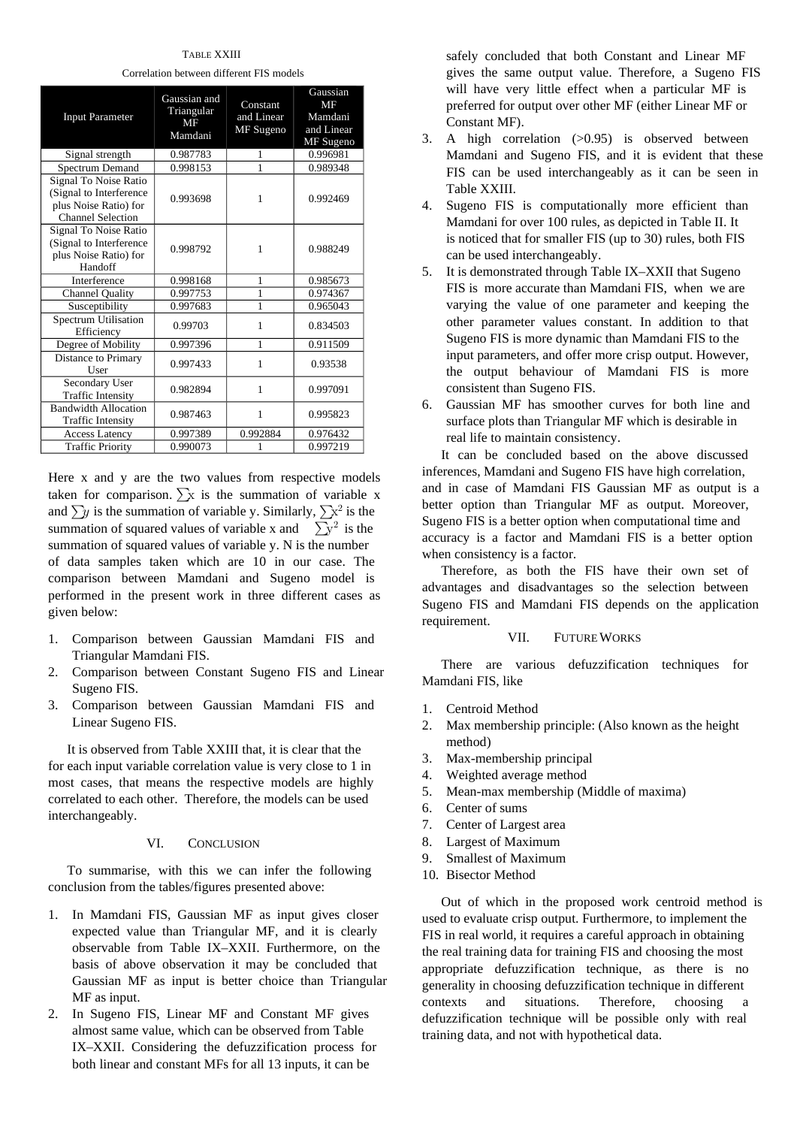TABLE XXIII

Correlation between different FIS models

| <b>Input Parameter</b>                                                                                | Gaussian and<br>Triangular<br>MF<br>Mamdani | Constant<br>and Linear<br>MF Sugeno | Gaussian<br>MF<br>Mamdani<br>and Linear<br>MF Sugeno |
|-------------------------------------------------------------------------------------------------------|---------------------------------------------|-------------------------------------|------------------------------------------------------|
| Signal strength                                                                                       | 0.987783                                    | 1                                   | 0.996981                                             |
| Spectrum Demand                                                                                       | 0.998153                                    | 1                                   | 0.989348                                             |
| Signal To Noise Ratio<br>(Signal to Interference<br>plus Noise Ratio) for<br><b>Channel Selection</b> | 0.993698                                    | 1                                   | 0.992469                                             |
| Signal To Noise Ratio<br>(Signal to Interference<br>plus Noise Ratio) for<br>Handoff                  | 0.998792                                    | 1                                   | 0.988249                                             |
| Interference                                                                                          | 0.998168                                    | 1                                   | 0.985673                                             |
| <b>Channel Quality</b>                                                                                | 0.997753                                    | 1                                   | 0.974367                                             |
| Susceptibility                                                                                        | 0.997683                                    | 1                                   | 0.965043                                             |
| <b>Spectrum Utilisation</b><br>Efficiency                                                             | 0.99703                                     | 1                                   | 0.834503                                             |
| Degree of Mobility                                                                                    | 0.997396                                    | 1                                   | 0.911509                                             |
| Distance to Primary<br>User                                                                           | 0.997433                                    | 1                                   | 0.93538                                              |
| Secondary User<br><b>Traffic Intensity</b>                                                            | 0.982894                                    | 1                                   | 0.997091                                             |
| <b>Bandwidth Allocation</b><br><b>Traffic Intensity</b>                                               | 0.987463                                    | 1                                   | 0.995823                                             |
| <b>Access Latency</b>                                                                                 | 0.997389                                    | 0.992884                            | 0.976432                                             |
| <b>Traffic Priority</b>                                                                               | 0.990073                                    | 1                                   | 0.997219                                             |

Here x and y are the two values from respective models taken for comparison.  $\sum x$  is the summation of variable x and  $\sum y$  is the summation of variable y. Similarly,  $\sum x^2$  is the summation of squared values of variable x and  $\sum y^2$  is the summation of squared values of variable y. N is the number of data samples taken which are 10 in our case. The comparison between Mamdani and Sugeno model is performed in the present work in three different cases as given below:

- 1. Comparison between Gaussian Mamdani FIS and Triangular Mamdani FIS.
- 2. Comparison between Constant Sugeno FIS and Linear Sugeno FIS.
- 3. Comparison between Gaussian Mamdani FIS and Linear Sugeno FIS.

It is observed from Table XXIII that, it is clear that the for each input variable correlation value is very close to 1 in most cases, that means the respective models are highly correlated to each other. Therefore, the models can be used interchangeably.

# VI. CONCLUSION

To summarise, with this we can infer the following conclusion from the tables/figures presented above:

- 1. In Mamdani FIS, Gaussian MF as input gives closer expected value than Triangular MF, and it is clearly observable from Table IX–XXII. Furthermore, on the basis of above observation it may be concluded that Gaussian MF as input is better choice than Triangular MF as input.
- 2. In Sugeno FIS, Linear MF and Constant MF gives almost same value, which can be observed from Table IX–XXII. Considering the defuzzification process for both linear and constant MFs for all 13 inputs, it can be

safely concluded that both Constant and Linear MF gives the same output value. Therefore, a Sugeno FIS will have very little effect when a particular MF is preferred for output over other MF (either Linear MF or Constant MF).

- 3. A high correlation (>0.95) is observed between Mamdani and Sugeno FIS, and it is evident that these FIS can be used interchangeably as it can be seen in Table XXIII.
- 4. Sugeno FIS is computationally more efficient than Mamdani for over 100 rules, as depicted in Table II. It is noticed that for smaller FIS (up to 30) rules, both FIS can be used interchangeably.
- 5. It is demonstrated through Table IX–XXII that Sugeno FIS is more accurate than Mamdani FIS, when we are varying the value of one parameter and keeping the other parameter values constant. In addition to that Sugeno FIS is more dynamic than Mamdani FIS to the input parameters, and offer more crisp output. However, the output behaviour of Mamdani FIS is more consistent than Sugeno FIS.
- 6. Gaussian MF has smoother curves for both line and surface plots than Triangular MF which is desirable in real life to maintain consistency.

It can be concluded based on the above discussed inferences, Mamdani and Sugeno FIS have high correlation, and in case of Mamdani FIS Gaussian MF as output is a better option than Triangular MF as output. Moreover, Sugeno FIS is a better option when computational time and accuracy is a factor and Mamdani FIS is a better option when consistency is a factor.

Therefore, as both the FIS have their own set of advantages and disadvantages so the selection between Sugeno FIS and Mamdani FIS depends on the application requirement.

# VII. FUTURE WORKS

There are various defuzzification techniques for Mamdani FIS, like

- 1. Centroid Method
- 2. Max membership principle: (Also known as the height method)
- 3. Max-membership principal
- 4. Weighted average method
- 5. Mean-max membership (Middle of maxima)
- 6. Center of sums
- 7. Center of Largest area
- 8. Largest of Maximum
- 9. Smallest of Maximum
- 10. Bisector Method

Out of which in the proposed work centroid method is used to evaluate crisp output. Furthermore, to implement the FIS in real world, it requires a careful approach in obtaining the real training data for training FIS and choosing the most appropriate defuzzification technique, as there is no generality in choosing defuzzification technique in different contexts and situations. Therefore, choosing a defuzzification technique will be possible only with real training data, and not with hypothetical data.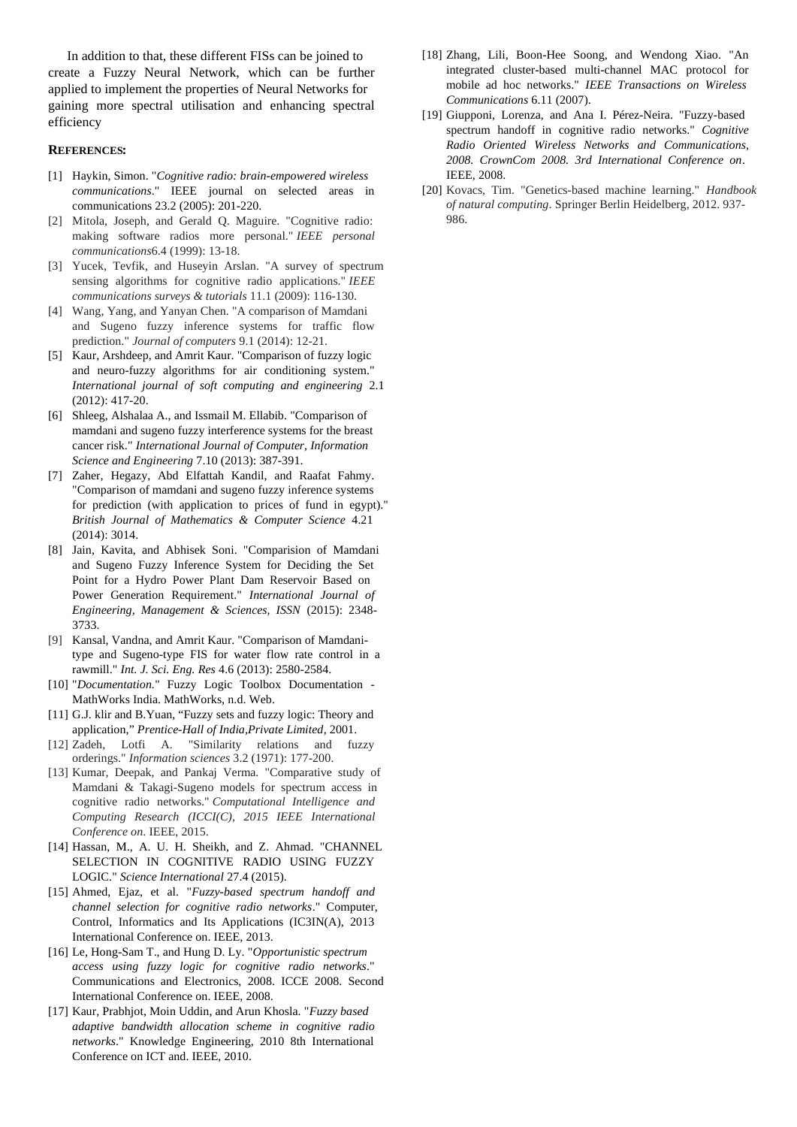In addition to that, these different FISs can be joined to create a Fuzzy Neural Network, which can be further applied to implement the properties of Neural Networks for gaining more spectral utilisation and enhancing spectral efficiency

## **REFERENCES:**

- [1] Haykin, Simon. "*Cognitive radio: brain-empowered wireless communications*." IEEE journal on selected areas in communications 23.2 (2005): 201-220.
- [2] Mitola, Joseph, and Gerald Q. Maguire. "Cognitive radio: making software radios more personal." *IEEE personal communications*6.4 (1999): 13-18.
- [3] Yucek, Tevfik, and Huseyin Arslan. "A survey of spectrum sensing algorithms for cognitive radio applications." *IEEE communications surveys & tutorials* 11.1 (2009): 116-130.
- [4] Wang, Yang, and Yanyan Chen. "A comparison of Mamdani and Sugeno fuzzy inference systems for traffic flow prediction." *Journal of computers* 9.1 (2014): 12-21.
- [5] Kaur, Arshdeep, and Amrit Kaur. "Comparison of fuzzy logic and neuro-fuzzy algorithms for air conditioning system." *International journal of soft computing and engineering* 2.1 (2012): 417-20.
- [6] Shleeg, Alshalaa A., and Issmail M. Ellabib. "Comparison of mamdani and sugeno fuzzy interference systems for the breast cancer risk." *International Journal of Computer, Information Science and Engineering* 7.10 (2013): 387-391.
- [7] Zaher, Hegazy, Abd Elfattah Kandil, and Raafat Fahmy. "Comparison of mamdani and sugeno fuzzy inference systems for prediction (with application to prices of fund in egypt)." *British Journal of Mathematics & Computer Science* 4.21 (2014): 3014.
- [8] Jain, Kavita, and Abhisek Soni. "Comparision of Mamdani and Sugeno Fuzzy Inference System for Deciding the Set Point for a Hydro Power Plant Dam Reservoir Based on Power Generation Requirement." *International Journal of Engineering, Management & Sciences, ISSN* (2015): 2348- 3733.
- [9] Kansal, Vandna, and Amrit Kaur. "Comparison of Mamdanitype and Sugeno-type FIS for water flow rate control in a rawmill." *Int. J. Sci. Eng. Res* 4.6 (2013): 2580-2584.
- [10] "*Documentation.*" Fuzzy Logic Toolbox Documentation MathWorks India. MathWorks, n.d. Web.
- [11] G.J. klir and B.Yuan, "Fuzzy sets and fuzzy logic: Theory and application," *Prentice-Hall of India,Private Limited*, 2001.
- [12] Zadeh, Lotfi A. "Similarity relations and fuzzy orderings." *Information sciences* 3.2 (1971): 177-200.
- [13] Kumar, Deepak, and Pankaj Verma. "Comparative study of Mamdani & Takagi-Sugeno models for spectrum access in cognitive radio networks." *Computational Intelligence and Computing Research (ICCI(C), 2015 IEEE International Conference on*. IEEE, 2015.
- [14] Hassan, M., A. U. H. Sheikh, and Z. Ahmad. "CHANNEL SELECTION IN COGNITIVE RADIO USING FUZZY LOGIC." *Science International* 27.4 (2015).
- [15] Ahmed, Ejaz, et al. "*Fuzzy-based spectrum handoff and channel selection for cognitive radio networks*." Computer, Control, Informatics and Its Applications (IC3IN(A), 2013 International Conference on. IEEE, 2013.
- [16] Le, Hong-Sam T., and Hung D. Ly. "*Opportunistic spectrum access using fuzzy logic for cognitive radio networks*." Communications and Electronics, 2008. ICCE 2008. Second International Conference on. IEEE, 2008.
- [17] Kaur, Prabhjot, Moin Uddin, and Arun Khosla. "*Fuzzy based adaptive bandwidth allocation scheme in cognitive radio networks*." Knowledge Engineering, 2010 8th International Conference on ICT and. IEEE, 2010.
- [18] Zhang, Lili, Boon-Hee Soong, and Wendong Xiao. "An integrated cluster-based multi-channel MAC protocol for mobile ad hoc networks." *IEEE Transactions on Wireless Communications* 6.11 (2007).
- [19] Giupponi, Lorenza, and Ana I. Pérez-Neira. "Fuzzy-based spectrum handoff in cognitive radio networks." *Cognitive Radio Oriented Wireless Networks and Communications, 2008. CrownCom 2008. 3rd International Conference on*. IEEE, 2008.
- [20] Kovacs, Tim. "Genetics-based machine learning." *Handbook of natural computing*. Springer Berlin Heidelberg, 2012. 937- 986.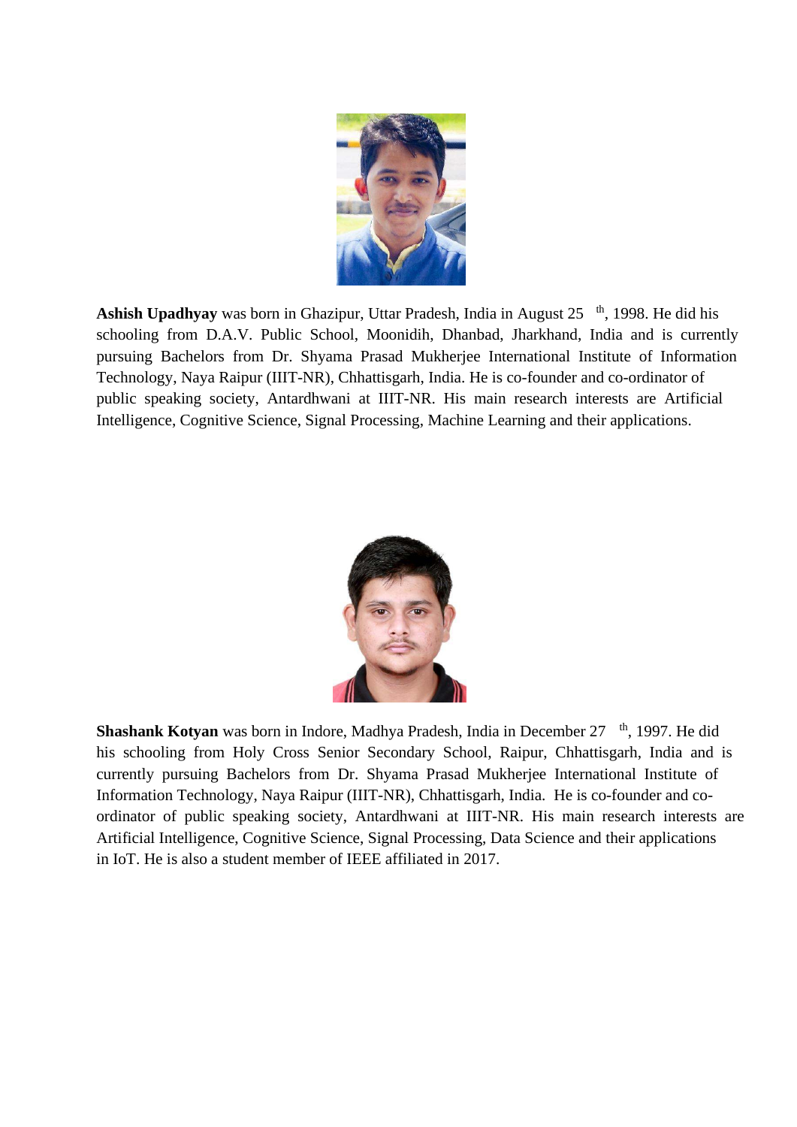

**Ashish Upadhyay** was born in Ghazipur, Uttar Pradesh, India in August 25 <sup>th</sup>, 1998. He did his schooling from D.A.V. Public School, Moonidih, Dhanbad, Jharkhand, India and is currently pursuing Bachelors from Dr. Shyama Prasad Mukherjee International Institute of Information Technology, Naya Raipur (IIIT-NR), Chhattisgarh, India. He is co-founder and co-ordinator of public speaking society, Antardhwani at IIIT-NR. His main research interests are Artificial Intelligence, Cognitive Science, Signal Processing, Machine Learning and their applications.



**Shashank Kotyan** was born in Indore, Madhya Pradesh, India in December 27 <sup>th</sup>, 1997. He did his schooling from Holy Cross Senior Secondary School, Raipur, Chhattisgarh, India and is currently pursuing Bachelors from Dr. Shyama Prasad Mukherjee International Institute of Information Technology, Naya Raipur (IIIT-NR), Chhattisgarh, India. He is co-founder and coordinator of public speaking society, Antardhwani at IIIT-NR. His main research interests are Artificial Intelligence, Cognitive Science, Signal Processing, Data Science and their applications in IoT. He is also a student member of IEEE affiliated in 2017.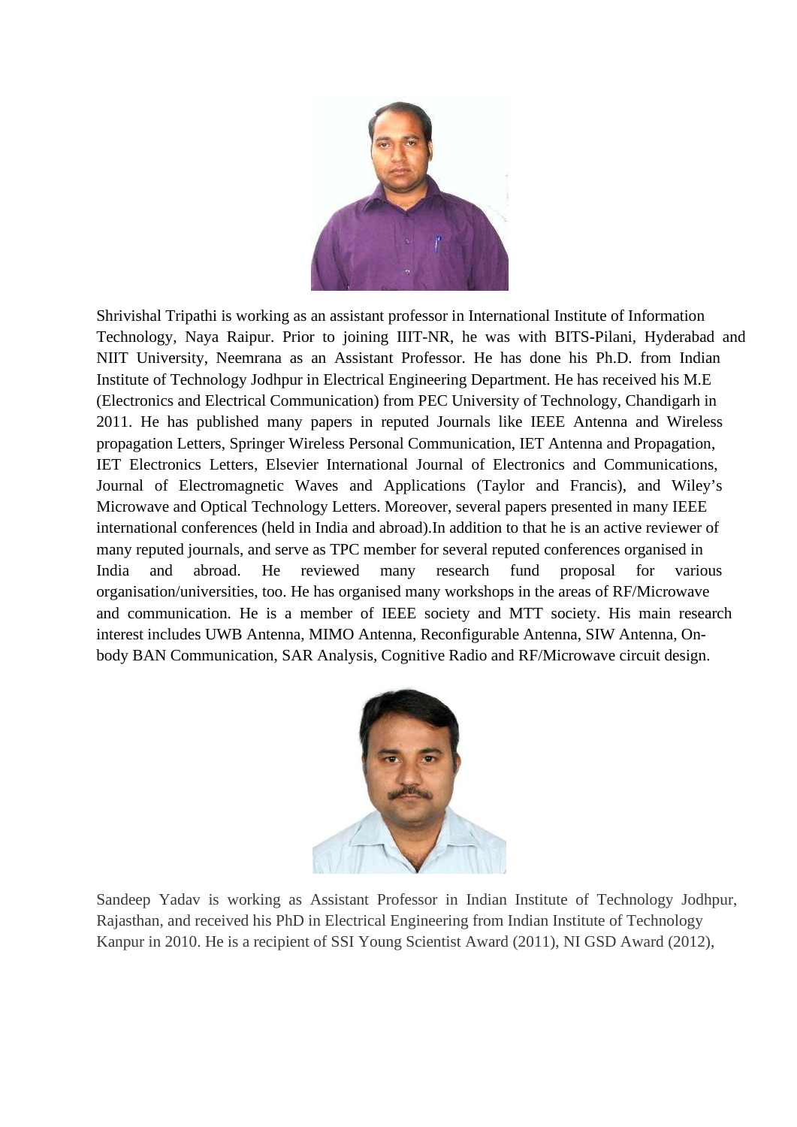

Shrivishal Tripathi is working as an assistant professor in International Institute of Information Technology, Naya Raipur. Prior to joining IIIT-NR, he was with BITS-Pilani, Hyderabad and NIIT University, Neemrana as an Assistant Professor. He has done his Ph.D. from Indian Institute of Technology Jodhpur in Electrical Engineering Department. He has received his M.E (Electronics and Electrical Communication) from PEC University of Technology, Chandigarh in 2011. He has published many papers in reputed Journals like IEEE Antenna and Wireless propagation Letters, Springer Wireless Personal Communication, IET Antenna and Propagation, IET Electronics Letters, Elsevier International Journal of Electronics and Communications, Journal of Electromagnetic Waves and Applications (Taylor and Francis), and Wiley's Microwave and Optical Technology Letters. Moreover, several papers presented in many IEEE international conferences (held in India and abroad).In addition to that he is an active reviewer of many reputed journals, and serve as TPC member for several reputed conferences organised in India and abroad. He reviewed many research fund proposal for various organisation/universities, too. He has organised many workshops in the areas of RF/Microwave and communication. He is a member of IEEE society and MTT society. His main research interest includes UWB Antenna, MIMO Antenna, Reconfigurable Antenna, SIW Antenna, Onbody BAN Communication, SAR Analysis, Cognitive Radio and RF/Microwave circuit design.



Sandeep Yadav is working as Assistant Professor in Indian Institute of Technology Jodhpur, Rajasthan, and received his PhD in Electrical Engineering from Indian Institute of Technology Kanpur in 2010. He is a recipient of SSI Young Scientist Award (2011), NI GSD Award (2012),